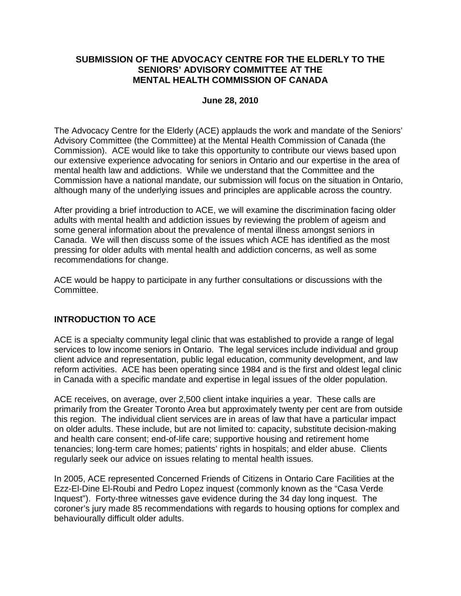#### **SUBMISSION OF THE ADVOCACY CENTRE FOR THE ELDERLY TO THE SENIORS' ADVISORY COMMITTEE AT THE MENTAL HEALTH COMMISSION OF CANADA**

#### **June 28, 2010**

The Advocacy Centre for the Elderly (ACE) applauds the work and mandate of the Seniors' Advisory Committee (the Committee) at the Mental Health Commission of Canada (the Commission). ACE would like to take this opportunity to contribute our views based upon our extensive experience advocating for seniors in Ontario and our expertise in the area of mental health law and addictions. While we understand that the Committee and the Commission have a national mandate, our submission will focus on the situation in Ontario, although many of the underlying issues and principles are applicable across the country.

After providing a brief introduction to ACE, we will examine the discrimination facing older adults with mental health and addiction issues by reviewing the problem of ageism and some general information about the prevalence of mental illness amongst seniors in Canada. We will then discuss some of the issues which ACE has identified as the most pressing for older adults with mental health and addiction concerns, as well as some recommendations for change.

ACE would be happy to participate in any further consultations or discussions with the Committee.

#### **INTRODUCTION TO ACE**

ACE is a specialty community legal clinic that was established to provide a range of legal services to low income seniors in Ontario. The legal services include individual and group client advice and representation, public legal education, community development, and law reform activities. ACE has been operating since 1984 and is the first and oldest legal clinic in Canada with a specific mandate and expertise in legal issues of the older population.

ACE receives, on average, over 2,500 client intake inquiries a year. These calls are primarily from the Greater Toronto Area but approximately twenty per cent are from outside this region. The individual client services are in areas of law that have a particular impact on older adults. These include, but are not limited to: capacity, substitute decision-making and health care consent; end-of-life care; supportive housing and retirement home tenancies; long-term care homes; patients' rights in hospitals; and elder abuse. Clients regularly seek our advice on issues relating to mental health issues.

In 2005, ACE represented Concerned Friends of Citizens in Ontario Care Facilities at the Ezz-El-Dine El-Roubi and Pedro Lopez inquest (commonly known as the "Casa Verde Inquest"). Forty-three witnesses gave evidence during the 34 day long inquest. The coroner's jury made 85 recommendations with regards to housing options for complex and behaviourally difficult older adults.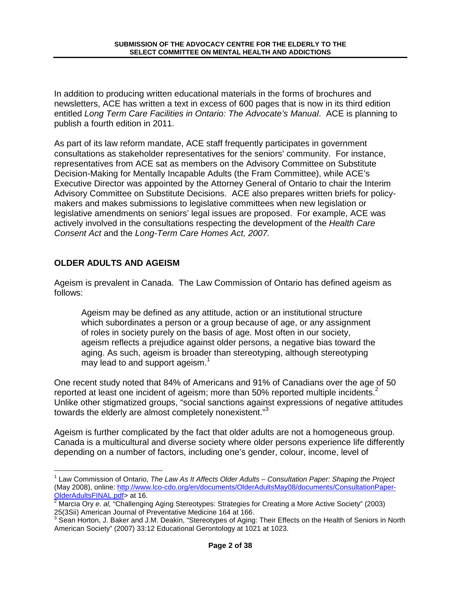In addition to producing written educational materials in the forms of brochures and newsletters, ACE has written a text in excess of 600 pages that is now in its third edition entitled Long Term Care Facilities in Ontario: The Advocate's Manual. ACE is planning to publish a fourth edition in 2011.

As part of its law reform mandate, ACE staff frequently participates in government consultations as stakeholder representatives for the seniors' community. For instance, representatives from ACE sat as members on the Advisory Committee on Substitute Decision-Making for Mentally Incapable Adults (the Fram Committee), while ACE's Executive Director was appointed by the Attorney General of Ontario to chair the Interim Advisory Committee on Substitute Decisions. ACE also prepares written briefs for policymakers and makes submissions to legislative committees when new legislation or legislative amendments on seniors' legal issues are proposed. For example, ACE was actively involved in the consultations respecting the development of the Health Care Consent Act and the Long-Term Care Homes Act, 2007.

# **OLDER ADULTS AND AGEISM**

-

Ageism is prevalent in Canada. The Law Commission of Ontario has defined ageism as follows:

Ageism may be defined as any attitude, action or an institutional structure which subordinates a person or a group because of age, or any assignment of roles in society purely on the basis of age. Most often in our society, ageism reflects a prejudice against older persons, a negative bias toward the aging. As such, ageism is broader than stereotyping, although stereotyping may lead to and support ageism.<sup>1</sup>

One recent study noted that 84% of Americans and 91% of Canadians over the age of 50 reported at least one incident of ageism; more than 50% reported multiple incidents. $2$ Unlike other stigmatized groups, "social sanctions against expressions of negative attitudes towards the elderly are almost completely nonexistent."<sup>3</sup>

Ageism is further complicated by the fact that older adults are not a homogeneous group. Canada is a multicultural and diverse society where older persons experience life differently depending on a number of factors, including one's gender, colour, income, level of

<sup>&</sup>lt;sup>1</sup> Law Commission of Ontario, The Law As It Affects Older Adults – Consultation Paper: Shaping the Project (May 2008), online: http://www.lco-cdo.org/en/documents/OlderAdultsMay08/documents/ConsultationPaper-<mark>OlderAdultsFINAL.pdf</mark>> at 16.<br><sup>2</sup> Marcia Ory *e. al,* "Challenging Aging Stereotypes: Strategies for Creating a More Active Society" (2003)

<sup>25(3</sup>Sii) American Journal of Preventative Medicine 164 at 166.<br><sup>3</sup> Sean Horton, J. Baker and J.M. Deakin, "Stereotypes of Aging: Their Effects on the Health of Seniors in North American Society" (2007) 33:12 Educational Gerontology at 1021 at 1023.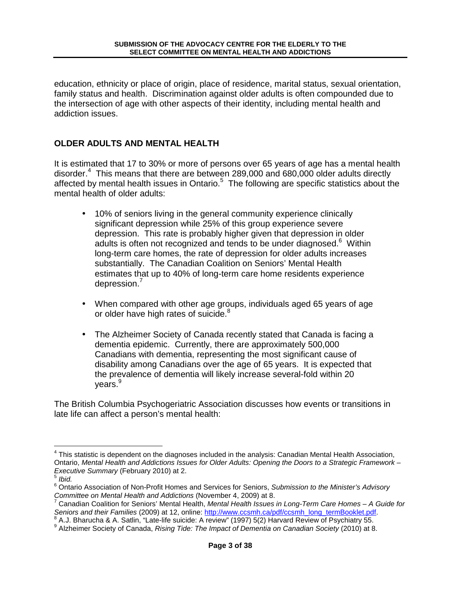education, ethnicity or place of origin, place of residence, marital status, sexual orientation, family status and health. Discrimination against older adults is often compounded due to the intersection of age with other aspects of their identity, including mental health and addiction issues.

#### **OLDER ADULTS AND MENTAL HEALTH**

It is estimated that 17 to 30% or more of persons over 65 years of age has a mental health disorder.<sup>4</sup> This means that there are between 289,000 and 680,000 older adults directly affected by mental health issues in Ontario.<sup>5</sup> The following are specific statistics about the mental health of older adults:

- 10% of seniors living in the general community experience clinically significant depression while 25% of this group experience severe depression. This rate is probably higher given that depression in older adults is often not recognized and tends to be under diagnosed.<sup>6</sup> Within long-term care homes, the rate of depression for older adults increases substantially. The Canadian Coalition on Seniors' Mental Health estimates that up to 40% of long-term care home residents experience depression.<sup>7</sup>
- When compared with other age groups, individuals aged 65 years of age or older have high rates of suicide.<sup>8</sup>
- The Alzheimer Society of Canada recently stated that Canada is facing a dementia epidemic. Currently, there are approximately 500,000 Canadians with dementia, representing the most significant cause of disability among Canadians over the age of 65 years. It is expected that the prevalence of dementia will likely increase several-fold within 20 years.<sup>9</sup>

The British Columbia Psychogeriatric Association discusses how events or transitions in late life can affect a person's mental health:

1

<sup>&</sup>lt;sup>4</sup> This statistic is dependent on the diagnoses included in the analysis: Canadian Mental Health Association, Ontario, Mental Health and Addictions Issues for Older Adults: Opening the Doors to a Strategic Framework – Executive Summary (February 2010) at 2.

 $^5$  Ibid.

<sup>&</sup>lt;sup>6</sup> Ontario Association of Non-Profit Homes and Services for Seniors, Submission to the Minister's Advisory

Committee on Mental Health and Addictions (November 4, 2009) at 8.<br><sup>7</sup> Canadian Coalition for Seniors' Mental Health, *Mental Health Issues in Long-Term Care Homes – A Guide for* Seniors and their Families (2009) at 12, online: http://www.ccsmh.ca/pdf/ccsmh\_long\_termBooklet.pdf.<br>8 A. L. Phorugha & A. Satlin. "Lata life quigido: A raviou" (1997) 5(3) Harvard Poviou of Povobjetn/ 55.

A.J. Bharucha & A. Satlin, "Late-life suicide: A review" (1997) 5(2) Harvard Review of Psychiatry 55.

<sup>&</sup>lt;sup>9</sup> Alzheimer Society of Canada, Rising Tide: The Impact of Dementia on Canadian Society (2010) at 8.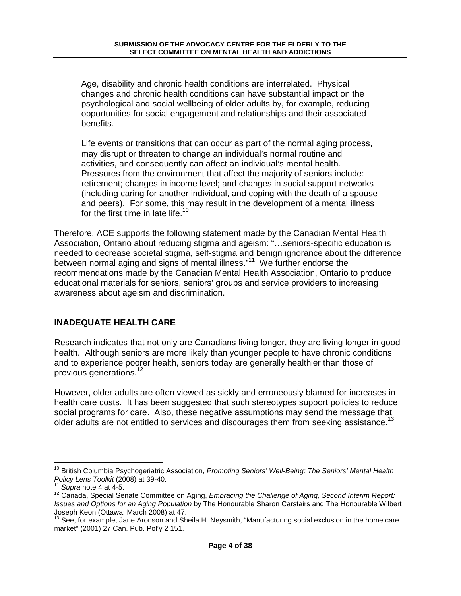Age, disability and chronic health conditions are interrelated. Physical changes and chronic health conditions can have substantial impact on the psychological and social wellbeing of older adults by, for example, reducing opportunities for social engagement and relationships and their associated benefits.

Life events or transitions that can occur as part of the normal aging process, may disrupt or threaten to change an individual's normal routine and activities, and consequently can affect an individual's mental health. Pressures from the environment that affect the majority of seniors include: retirement; changes in income level; and changes in social support networks (including caring for another individual, and coping with the death of a spouse and peers). For some, this may result in the development of a mental illness for the first time in late life.<sup>10</sup>

Therefore, ACE supports the following statement made by the Canadian Mental Health Association, Ontario about reducing stigma and ageism: "…seniors-specific education is needed to decrease societal stigma, self-stigma and benign ignorance about the difference between normal aging and signs of mental illness."<sup>11</sup> We further endorse the recommendations made by the Canadian Mental Health Association, Ontario to produce educational materials for seniors, seniors' groups and service providers to increasing awareness about ageism and discrimination.

# **INADEQUATE HEALTH CARE**

Research indicates that not only are Canadians living longer, they are living longer in good health. Although seniors are more likely than younger people to have chronic conditions and to experience poorer health, seniors today are generally healthier than those of previous generations.<sup>12</sup>

However, older adults are often viewed as sickly and erroneously blamed for increases in health care costs. It has been suggested that such stereotypes support policies to reduce social programs for care. Also, these negative assumptions may send the message that older adults are not entitled to services and discourages them from seeking assistance.<sup>13</sup>

<sup>1</sup> <sup>10</sup> British Columbia Psychogeriatric Association, Promoting Seniors' Well-Being: The Seniors' Mental Health Policy Lens Toolkit (2008) at 39-40.

 $11$  Supra note 4 at 4-5.

<sup>&</sup>lt;sup>12</sup> Canada, Special Senate Committee on Aging, Embracing the Challenge of Aging, Second Interim Report: Issues and Options for an Aging Population by The Honourable Sharon Carstairs and The Honourable Wilbert Joseph Keon (Ottawa: March 2008) at 47.

<sup>&</sup>lt;sup>13</sup> See, for example, Jane Aronson and Sheila H. Neysmith, "Manufacturing social exclusion in the home care market" (2001) 27 Can. Pub. Pol'y 2 151.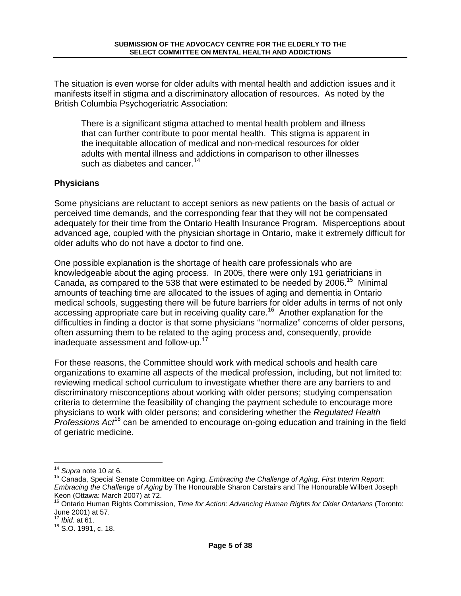The situation is even worse for older adults with mental health and addiction issues and it manifests itself in stigma and a discriminatory allocation of resources. As noted by the British Columbia Psychogeriatric Association:

There is a significant stigma attached to mental health problem and illness that can further contribute to poor mental health. This stigma is apparent in the inequitable allocation of medical and non-medical resources for older adults with mental illness and addictions in comparison to other illnesses such as diabetes and cancer.  $14$ 

### **Physicians**

Some physicians are reluctant to accept seniors as new patients on the basis of actual or perceived time demands, and the corresponding fear that they will not be compensated adequately for their time from the Ontario Health Insurance Program. Misperceptions about advanced age, coupled with the physician shortage in Ontario, make it extremely difficult for older adults who do not have a doctor to find one.

One possible explanation is the shortage of health care professionals who are knowledgeable about the aging process. In 2005, there were only 191 geriatricians in Canada, as compared to the 538 that were estimated to be needed by 2006.<sup>15</sup> Minimal amounts of teaching time are allocated to the issues of aging and dementia in Ontario medical schools, suggesting there will be future barriers for older adults in terms of not only accessing appropriate care but in receiving quality care.<sup>16</sup> Another explanation for the difficulties in finding a doctor is that some physicians "normalize" concerns of older persons, often assuming them to be related to the aging process and, consequently, provide inadequate assessment and follow-up.<sup>17</sup>

For these reasons, the Committee should work with medical schools and health care organizations to examine all aspects of the medical profession, including, but not limited to: reviewing medical school curriculum to investigate whether there are any barriers to and discriminatory misconceptions about working with older persons; studying compensation criteria to determine the feasibility of changing the payment schedule to encourage more physicians to work with older persons; and considering whether the Regulated Health Professions  $Act^{18}$  can be amended to encourage on-going education and training in the field of geriatric medicine.

1

 $14$  Supra note 10 at 6.

<sup>&</sup>lt;sup>15</sup> Canada, Special Senate Committee on Aging, *Embracing the Challenge of Aging, First Interim Report:* Embracing the Challenge of Aging by The Honourable Sharon Carstairs and The Honourable Wilbert Joseph Keon (Ottawa: March 2007) at 72.

<sup>&</sup>lt;sup>16</sup> Ontario Human Rights Commission, Time for Action: Advancing Human Rights for Older Ontarians (Toronto: June 2001) at 57.

 $17$  *Ibid.* at 61.

<sup>18</sup> S.O. 1991, c. 18.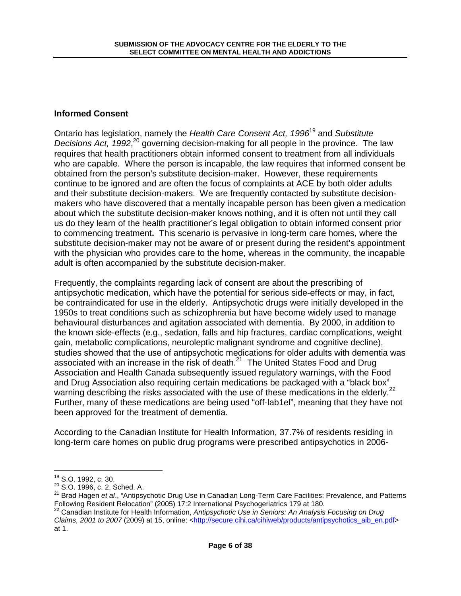### **Informed Consent**

Ontario has legislation, namely the Health Care Consent Act, 1996<sup>19</sup> and Substitute Decisions Act, 1992, $20$  governing decision-making for all people in the province. The law requires that health practitioners obtain informed consent to treatment from all individuals who are capable. Where the person is incapable, the law requires that informed consent be obtained from the person's substitute decision-maker. However, these requirements continue to be ignored and are often the focus of complaints at ACE by both older adults and their substitute decision-makers. We are frequently contacted by substitute decisionmakers who have discovered that a mentally incapable person has been given a medication about which the substitute decision-maker knows nothing, and it is often not until they call us do they learn of the health practitioner's legal obligation to obtain informed consent prior to commencing treatment**.** This scenario is pervasive in long-term care homes, where the substitute decision-maker may not be aware of or present during the resident's appointment with the physician who provides care to the home, whereas in the community, the incapable adult is often accompanied by the substitute decision-maker.

Frequently, the complaints regarding lack of consent are about the prescribing of antipsychotic medication, which have the potential for serious side-effects or may, in fact, be contraindicated for use in the elderly. Antipsychotic drugs were initially developed in the 1950s to treat conditions such as schizophrenia but have become widely used to manage behavioural disturbances and agitation associated with dementia. By 2000, in addition to the known side-effects (e.g., sedation, falls and hip fractures, cardiac complications, weight gain, metabolic complications, neuroleptic malignant syndrome and cognitive decline), studies showed that the use of antipsychotic medications for older adults with dementia was associated with an increase in the risk of death.<sup>21</sup> The United States Food and Drug Association and Health Canada subsequently issued regulatory warnings, with the Food and Drug Association also requiring certain medications be packaged with a "black box" warning describing the risks associated with the use of these medications in the elderly.<sup>22</sup> Further, many of these medications are being used "off-lab1el", meaning that they have not been approved for the treatment of dementia.

According to the Canadian Institute for Health Information, 37.7% of residents residing in long-term care homes on public drug programs were prescribed antipsychotics in 2006-

-

<sup>19</sup> S.O. 1992, c. 30.

<sup>20</sup> S.O. 1996, c. 2, Sched. A.

<sup>21</sup> Brad Hagen et al., "Antipsychotic Drug Use in Canadian Long-Term Care Facilities: Prevalence, and Patterns Following Resident Relocation" (2005) 17:2 International Psychogeriatrics 179 at 180.

<sup>&</sup>lt;sup>22</sup> Canadian Institute for Health Information, Antipsychotic Use in Seniors: An Analysis Focusing on Drug Claims, 2001 to 2007 (2009) at 15, online: <http://secure.cihi.ca/cihiweb/products/antipsychotics\_aib\_en.pdf> at 1.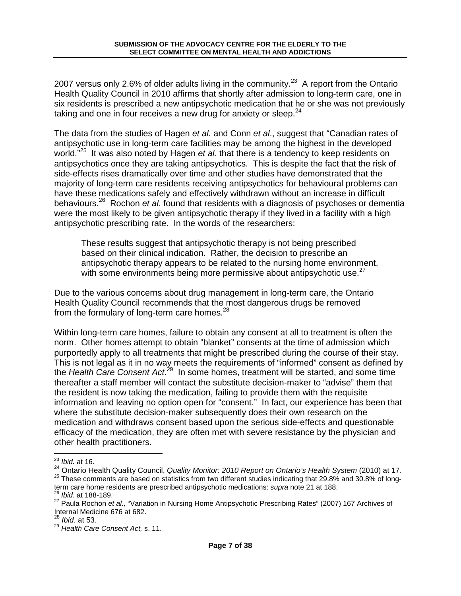2007 versus only 2.6% of older adults living in the community.<sup>23</sup> A report from the Ontario Health Quality Council in 2010 affirms that shortly after admission to long-term care, one in six residents is prescribed a new antipsychotic medication that he or she was not previously taking and one in four receives a new drug for anxiety or sleep. $24$ 

The data from the studies of Hagen et al. and Conn et al., suggest that "Canadian rates of antipsychotic use in long-term care facilities may be among the highest in the developed world."<sup>25</sup> It was also noted by Hagen et al. that there is a tendency to keep residents on antipsychotics once they are taking antipsychotics. This is despite the fact that the risk of side-effects rises dramatically over time and other studies have demonstrated that the majority of long-term care residents receiving antipsychotics for behavioural problems can have these medications safely and effectively withdrawn without an increase in difficult behaviours.<sup>26</sup> Rochon et al. found that residents with a diagnosis of psychoses or dementia were the most likely to be given antipsychotic therapy if they lived in a facility with a high antipsychotic prescribing rate. In the words of the researchers:

These results suggest that antipsychotic therapy is not being prescribed based on their clinical indication. Rather, the decision to prescribe an antipsychotic therapy appears to be related to the nursing home environment, with some environments being more permissive about antipsychotic use. $27$ 

Due to the various concerns about drug management in long-term care, the Ontario Health Quality Council recommends that the most dangerous drugs be removed from the formulary of long-term care homes. $^{28}$ 

Within long-term care homes, failure to obtain any consent at all to treatment is often the norm. Other homes attempt to obtain "blanket" consents at the time of admission which purportedly apply to all treatments that might be prescribed during the course of their stay. This is not legal as it in no way meets the requirements of "informed" consent as defined by the Health Care Consent Act.<sup>29</sup> In some homes, treatment will be started, and some time thereafter a staff member will contact the substitute decision-maker to "advise" them that the resident is now taking the medication, failing to provide them with the requisite information and leaving no option open for "consent." In fact, our experience has been that where the substitute decision-maker subsequently does their own research on the medication and withdraws consent based upon the serious side-effects and questionable efficacy of the medication, they are often met with severe resistance by the physician and other health practitioners.

<sup>1</sup>  $23$  *lbid.* at 16.

<sup>&</sup>lt;sup>24</sup> Ontario Health Quality Council, Quality Monitor: 2010 Report on Ontario's Health System (2010) at 17. <sup>25</sup> These comments are based on statistics from two different studies indicating that 29.8% and 30.8% of long-

term care home residents are prescribed antipsychotic medications: supra note 21 at 188. <sup>26</sup> Ibid. at 188-189.

<sup>&</sup>lt;sup>27</sup> Paula Rochon et al., "Variation in Nursing Home Antipsychotic Prescribing Rates" (2007) 167 Archives of Internal Medicine 676 at 682.

<sup>&</sup>lt;sup>28</sup> Ibid. at 53.

<sup>&</sup>lt;sup>29</sup> Health Care Consent Act, s. 11.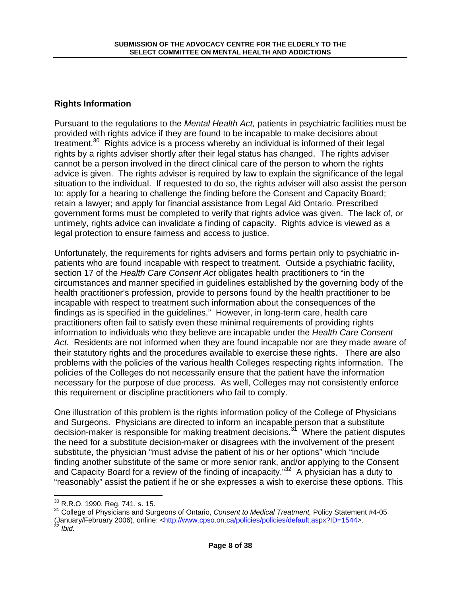### **Rights Information**

Pursuant to the regulations to the Mental Health Act, patients in psychiatric facilities must be provided with rights advice if they are found to be incapable to make decisions about treatment.<sup>30</sup> Rights advice is a process whereby an individual is informed of their legal rights by a rights adviser shortly after their legal status has changed. The rights adviser cannot be a person involved in the direct clinical care of the person to whom the rights advice is given. The rights adviser is required by law to explain the significance of the legal situation to the individual. If requested to do so, the rights adviser will also assist the person to: apply for a hearing to challenge the finding before the Consent and Capacity Board; retain a lawyer; and apply for financial assistance from Legal Aid Ontario. Prescribed government forms must be completed to verify that rights advice was given. The lack of, or untimely, rights advice can invalidate a finding of capacity. Rights advice is viewed as a legal protection to ensure fairness and access to justice.

Unfortunately, the requirements for rights advisers and forms pertain only to psychiatric inpatients who are found incapable with respect to treatment. Outside a psychiatric facility, section 17 of the Health Care Consent Act obligates health practitioners to "in the circumstances and manner specified in guidelines established by the governing body of the health practitioner's profession, provide to persons found by the health practitioner to be incapable with respect to treatment such information about the consequences of the findings as is specified in the guidelines." However, in long-term care, health care practitioners often fail to satisfy even these minimal requirements of providing rights information to individuals who they believe are incapable under the Health Care Consent Act. Residents are not informed when they are found incapable nor are they made aware of their statutory rights and the procedures available to exercise these rights. There are also problems with the policies of the various health Colleges respecting rights information. The policies of the Colleges do not necessarily ensure that the patient have the information necessary for the purpose of due process. As well, Colleges may not consistently enforce this requirement or discipline practitioners who fail to comply.

One illustration of this problem is the rights information policy of the College of Physicians and Surgeons. Physicians are directed to inform an incapable person that a substitute decision-maker is responsible for making treatment decisions.<sup>31</sup> Where the patient disputes the need for a substitute decision-maker or disagrees with the involvement of the present substitute, the physician "must advise the patient of his or her options" which "include finding another substitute of the same or more senior rank, and/or applying to the Consent and Capacity Board for a review of the finding of incapacity."<sup>32</sup> A physician has a duty to "reasonably" assist the patient if he or she expresses a wish to exercise these options. This

 $32$  Ibid.

1

<sup>30</sup> R.R.O. 1990, Reg. 741, s. 15.

<sup>&</sup>lt;sup>31</sup> College of Physicians and Surgeons of Ontario, Consent to Medical Treatment, Policy Statement #4-05 (January/February 2006), online: <http://www.cpso.on.ca/policies/policies/default.aspx?ID=1544>.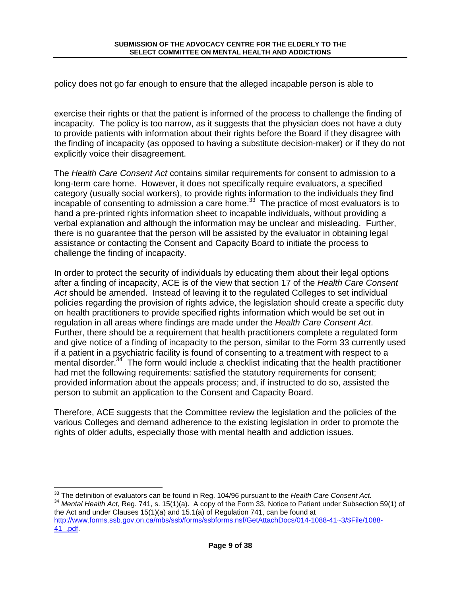policy does not go far enough to ensure that the alleged incapable person is able to

exercise their rights or that the patient is informed of the process to challenge the finding of incapacity. The policy is too narrow, as it suggests that the physician does not have a duty to provide patients with information about their rights before the Board if they disagree with the finding of incapacity (as opposed to having a substitute decision-maker) or if they do not explicitly voice their disagreement.

The Health Care Consent Act contains similar requirements for consent to admission to a long-term care home. However, it does not specifically require evaluators, a specified category (usually social workers), to provide rights information to the individuals they find  $\frac{1}{2}$  incapable of consenting to admission a care home.<sup>33</sup> The practice of most evaluators is to hand a pre-printed rights information sheet to incapable individuals, without providing a verbal explanation and although the information may be unclear and misleading. Further, there is no guarantee that the person will be assisted by the evaluator in obtaining legal assistance or contacting the Consent and Capacity Board to initiate the process to challenge the finding of incapacity.

In order to protect the security of individuals by educating them about their legal options after a finding of incapacity, ACE is of the view that section 17 of the Health Care Consent Act should be amended. Instead of leaving it to the regulated Colleges to set individual policies regarding the provision of rights advice, the legislation should create a specific duty on health practitioners to provide specified rights information which would be set out in regulation in all areas where findings are made under the Health Care Consent Act. Further, there should be a requirement that health practitioners complete a regulated form and give notice of a finding of incapacity to the person, similar to the Form 33 currently used if a patient in a psychiatric facility is found of consenting to a treatment with respect to a mental disorder. $34$  The form would include a checklist indicating that the health practitioner had met the following requirements: satisfied the statutory requirements for consent; provided information about the appeals process; and, if instructed to do so, assisted the person to submit an application to the Consent and Capacity Board.

Therefore, ACE suggests that the Committee review the legislation and the policies of the various Colleges and demand adherence to the existing legislation in order to promote the rights of older adults, especially those with mental health and addiction issues.

41\_.pdf.

<sup>1</sup>  $33$  The definition of evaluators can be found in Reg. 104/96 pursuant to the Health Care Consent Act.

<sup>&</sup>lt;sup>34</sup> Mental Health Act, Reg. 741, s. 15(1)(a). A copy of the Form 33, Notice to Patient under Subsection 59(1) of the Act and under Clauses 15(1)(a) and 15.1(a) of Regulation 741, can be found at http://www.forms.ssb.gov.on.ca/mbs/ssb/forms/ssbforms.nsf/GetAttachDocs/014-1088-41~3/\$File/1088-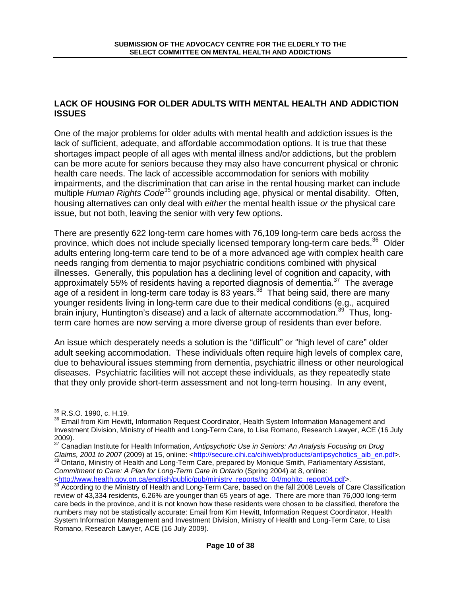### **LACK OF HOUSING FOR OLDER ADULTS WITH MENTAL HEALTH AND ADDICTION ISSUES**

One of the major problems for older adults with mental health and addiction issues is the lack of sufficient, adequate, and affordable accommodation options. It is true that these shortages impact people of all ages with mental illness and/or addictions, but the problem can be more acute for seniors because they may also have concurrent physical or chronic health care needs. The lack of accessible accommodation for seniors with mobility impairments, and the discrimination that can arise in the rental housing market can include multiple Human Rights Code<sup>35</sup> grounds including age, physical or mental disability. Often, housing alternatives can only deal with either the mental health issue or the physical care issue, but not both, leaving the senior with very few options.

There are presently 622 long-term care homes with 76,109 long-term care beds across the province, which does not include specially licensed temporary long-term care beds.<sup>36</sup> Older adults entering long-term care tend to be of a more advanced age with complex health care needs ranging from dementia to major psychiatric conditions combined with physical illnesses. Generally, this population has a declining level of cognition and capacity, with approximately 55% of residents having a reported diagnosis of dementia.<sup>37</sup> The average age of a resident in long-term care today is 83 years.<sup>38</sup> That being said, there are many younger residents living in long-term care due to their medical conditions (e.g., acquired brain injury, Huntington's disease) and a lack of alternate accommodation.<sup>39</sup> Thus, longterm care homes are now serving a more diverse group of residents than ever before.

An issue which desperately needs a solution is the "difficult" or "high level of care" older adult seeking accommodation. These individuals often require high levels of complex care, due to behavioural issues stemming from dementia, psychiatric illness or other neurological diseases. Psychiatric facilities will not accept these individuals, as they repeatedly state that they only provide short-term assessment and not long-term housing. In any event,

<sup>&</sup>lt;u>.</u> <sup>35</sup> R.S.O. 1990, c. H.19.

<sup>&</sup>lt;sup>36</sup> Email from Kim Hewitt, Information Request Coordinator, Health System Information Management and Investment Division, Ministry of Health and Long-Term Care, to Lisa Romano, Research Lawyer, ACE (16 July 2009).

<sup>&</sup>lt;sup>37</sup> Canadian Institute for Health Information, Antipsychotic Use in Seniors: An Analysis Focusing on Drug Claims, 2001 to 2007 (2009) at 15, online: <http://secure.cihi.ca/cihiweb/products/antipsychotics\_aib\_en.pdf>.

<sup>&</sup>lt;sup>38</sup> Ontario, Ministry of Health and Long-Term Care, prepared by Monique Smith, Parliamentary Assistant, Commitment to Care: A Plan for Long-Term Care in Ontario (Spring 2004) at 8, online: <http://www.health.gov.on.ca/english/public/pub/ministry\_reports/ltc\_04/mohltc\_report04.pdf>.

<sup>39</sup> According to the Ministry of Health and Long-Term Care, based on the fall 2008 Levels of Care Classification review of 43,334 residents, 6.26% are younger than 65 years of age. There are more than 76,000 long-term care beds in the province, and it is not known how these residents were chosen to be classified, therefore the numbers may not be statistically accurate: Email from Kim Hewitt, Information Request Coordinator, Health System Information Management and Investment Division, Ministry of Health and Long-Term Care, to Lisa Romano, Research Lawyer, ACE (16 July 2009).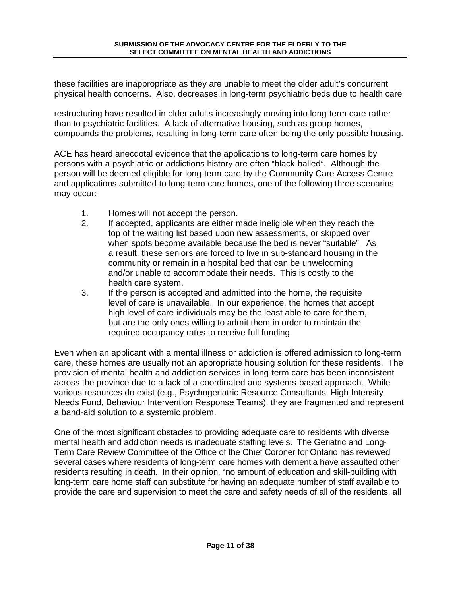these facilities are inappropriate as they are unable to meet the older adult's concurrent physical health concerns. Also, decreases in long-term psychiatric beds due to health care

restructuring have resulted in older adults increasingly moving into long-term care rather than to psychiatric facilities. A lack of alternative housing, such as group homes, compounds the problems, resulting in long-term care often being the only possible housing.

ACE has heard anecdotal evidence that the applications to long-term care homes by persons with a psychiatric or addictions history are often "black-balled". Although the person will be deemed eligible for long-term care by the Community Care Access Centre and applications submitted to long-term care homes, one of the following three scenarios may occur:

- 1. Homes will not accept the person.
- 2. If accepted, applicants are either made ineligible when they reach the top of the waiting list based upon new assessments, or skipped over when spots become available because the bed is never "suitable". As a result, these seniors are forced to live in sub-standard housing in the community or remain in a hospital bed that can be unwelcoming and/or unable to accommodate their needs. This is costly to the health care system.
- 3. If the person is accepted and admitted into the home, the requisite level of care is unavailable. In our experience, the homes that accept high level of care individuals may be the least able to care for them, but are the only ones willing to admit them in order to maintain the required occupancy rates to receive full funding.

Even when an applicant with a mental illness or addiction is offered admission to long-term care, these homes are usually not an appropriate housing solution for these residents. The provision of mental health and addiction services in long-term care has been inconsistent across the province due to a lack of a coordinated and systems-based approach. While various resources do exist (e.g., Psychogeriatric Resource Consultants, High Intensity Needs Fund, Behaviour Intervention Response Teams), they are fragmented and represent a band-aid solution to a systemic problem.

One of the most significant obstacles to providing adequate care to residents with diverse mental health and addiction needs is inadequate staffing levels. The Geriatric and Long-Term Care Review Committee of the Office of the Chief Coroner for Ontario has reviewed several cases where residents of long-term care homes with dementia have assaulted other residents resulting in death. In their opinion, "no amount of education and skill-building with long-term care home staff can substitute for having an adequate number of staff available to provide the care and supervision to meet the care and safety needs of all of the residents, all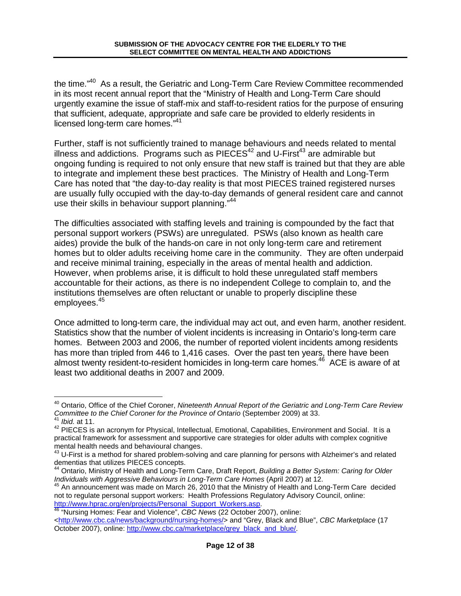the time."<sup>40</sup> As a result, the Geriatric and Long-Term Care Review Committee recommended in its most recent annual report that the "Ministry of Health and Long-Term Care should urgently examine the issue of staff-mix and staff-to-resident ratios for the purpose of ensuring that sufficient, adequate, appropriate and safe care be provided to elderly residents in licensed long-term care homes."<sup>41</sup>

Further, staff is not sufficiently trained to manage behaviours and needs related to mental illness and addictions. Programs such as  $PIE\tilde{C}ES^{42}$  and U-First<sup>43</sup> are admirable but ongoing funding is required to not only ensure that new staff is trained but that they are able to integrate and implement these best practices. The Ministry of Health and Long-Term Care has noted that "the day-to-day reality is that most PIECES trained registered nurses are usually fully occupied with the day-to-day demands of general resident care and cannot use their skills in behaviour support planning."<sup>44</sup>

The difficulties associated with staffing levels and training is compounded by the fact that personal support workers (PSWs) are unregulated. PSWs (also known as health care aides) provide the bulk of the hands-on care in not only long-term care and retirement homes but to older adults receiving home care in the community. They are often underpaid and receive minimal training, especially in the areas of mental health and addiction. However, when problems arise, it is difficult to hold these unregulated staff members accountable for their actions, as there is no independent College to complain to, and the institutions themselves are often reluctant or unable to properly discipline these employees.<sup>45</sup>

Once admitted to long-term care, the individual may act out, and even harm, another resident. Statistics show that the number of violent incidents is increasing in Ontario's long-term care homes. Between 2003 and 2006, the number of reported violent incidents among residents has more than tripled from 446 to 1,416 cases. Over the past ten years, there have been almost twenty resident-to-resident homicides in long-term care homes.<sup>46</sup> ACE is aware of at least two additional deaths in 2007 and 2009.

1

<sup>&</sup>lt;sup>40</sup> Ontario, Office of the Chief Coroner, Nineteenth Annual Report of the Geriatric and Long-Term Care Review Committee to the Chief Coroner for the Province of Ontario (September 2009) at 33. Ibid. at 11.

<sup>&</sup>lt;sup>42</sup> PIECES is an acronym for Physical, Intellectual, Emotional, Capabilities, Environment and Social. It is a practical framework for assessment and supportive care strategies for older adults with complex cognitive mental health needs and behavioural changes.

<sup>&</sup>lt;sup>43</sup> U-First is a method for shared problem-solving and care planning for persons with Alzheimer's and related dementias that utilizes PIECES concepts.

<sup>&</sup>lt;sup>44</sup> Ontario, Ministry of Health and Long-Term Care, Draft Report, Building a Better System: Caring for Older Individuals with Aggressive Behaviours in Long-Term Care Homes (April 2007) at 12.

<sup>45</sup> An announcement was made on March 26, 2010 that the Ministry of Health and Long-Term Care decided not to regulate personal support workers: Health Professions Regulatory Advisory Council, online: http://www.hprac.org/en/projects/Personal\_Support\_Workers.asp.

<sup>&</sup>lt;sup>46</sup> "Nursing Homes: Fear and Violence", CBC News (22 October 2007), online:

<sup>&</sup>lt;http://www.cbc.ca/news/background/nursing-homes/> and "Grey, Black and Blue", CBC Marketplace (17 October 2007), online: http://www.cbc.ca/marketplace/grey\_black\_and\_blue/.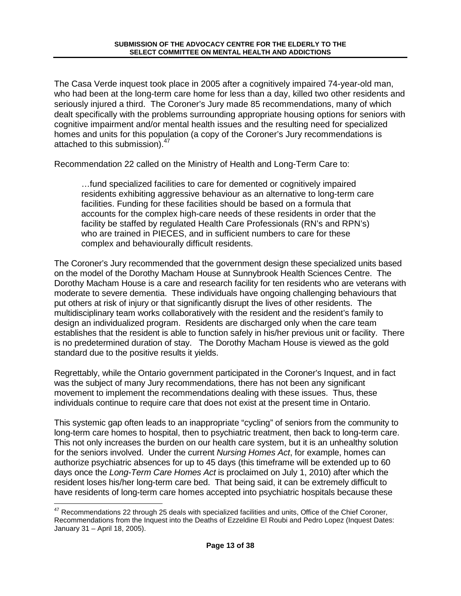The Casa Verde inquest took place in 2005 after a cognitively impaired 74-year-old man, who had been at the long-term care home for less than a day, killed two other residents and seriously injured a third. The Coroner's Jury made 85 recommendations, many of which dealt specifically with the problems surrounding appropriate housing options for seniors with cognitive impairment and/or mental health issues and the resulting need for specialized homes and units for this population (a copy of the Coroner's Jury recommendations is attached to this submission).<sup>47</sup>

Recommendation 22 called on the Ministry of Health and Long-Term Care to:

…fund specialized facilities to care for demented or cognitively impaired residents exhibiting aggressive behaviour as an alternative to long-term care facilities. Funding for these facilities should be based on a formula that accounts for the complex high-care needs of these residents in order that the facility be staffed by regulated Health Care Professionals (RN's and RPN's) who are trained in PIECES, and in sufficient numbers to care for these complex and behaviourally difficult residents.

The Coroner's Jury recommended that the government design these specialized units based on the model of the Dorothy Macham House at Sunnybrook Health Sciences Centre. The Dorothy Macham House is a care and research facility for ten residents who are veterans with moderate to severe dementia. These individuals have ongoing challenging behaviours that put others at risk of injury or that significantly disrupt the lives of other residents. The multidisciplinary team works collaboratively with the resident and the resident's family to design an individualized program. Residents are discharged only when the care team establishes that the resident is able to function safely in his/her previous unit or facility. There is no predetermined duration of stay. The Dorothy Macham House is viewed as the gold standard due to the positive results it yields.

Regrettably, while the Ontario government participated in the Coroner's Inquest, and in fact was the subject of many Jury recommendations, there has not been any significant movement to implement the recommendations dealing with these issues. Thus, these individuals continue to require care that does not exist at the present time in Ontario.

This systemic gap often leads to an inappropriate "cycling" of seniors from the community to long-term care homes to hospital, then to psychiatric treatment, then back to long-term care. This not only increases the burden on our health care system, but it is an unhealthy solution for the seniors involved. Under the current Nursing Homes Act, for example, homes can authorize psychiatric absences for up to 45 days (this timeframe will be extended up to 60 days once the Long-Term Care Homes Act is proclaimed on July 1, 2010) after which the resident loses his/her long-term care bed. That being said, it can be extremely difficult to have residents of long-term care homes accepted into psychiatric hospitals because these

1

 $47$  Recommendations 22 through 25 deals with specialized facilities and units, Office of the Chief Coroner, Recommendations from the Inquest into the Deaths of Ezzeldine El Roubi and Pedro Lopez (Inquest Dates: January 31 – April 18, 2005).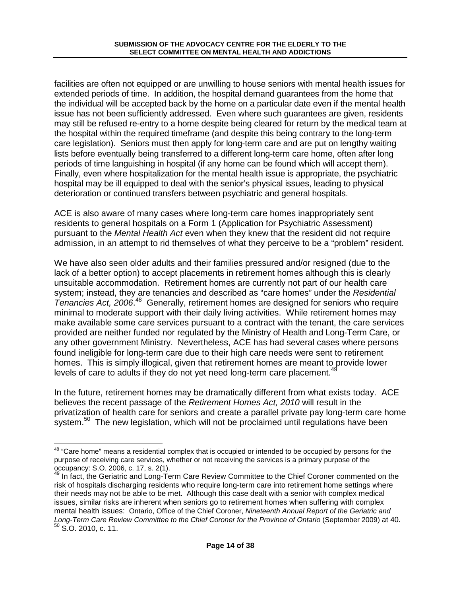facilities are often not equipped or are unwilling to house seniors with mental health issues for extended periods of time. In addition, the hospital demand guarantees from the home that the individual will be accepted back by the home on a particular date even if the mental health issue has not been sufficiently addressed. Even where such guarantees are given, residents may still be refused re-entry to a home despite being cleared for return by the medical team at the hospital within the required timeframe (and despite this being contrary to the long-term care legislation). Seniors must then apply for long-term care and are put on lengthy waiting lists before eventually being transferred to a different long-term care home, often after long periods of time languishing in hospital (if any home can be found which will accept them). Finally, even where hospitalization for the mental health issue is appropriate, the psychiatric hospital may be ill equipped to deal with the senior's physical issues, leading to physical deterioration or continued transfers between psychiatric and general hospitals.

ACE is also aware of many cases where long-term care homes inappropriately sent residents to general hospitals on a Form 1 (Application for Psychiatric Assessment) pursuant to the Mental Health Act even when they knew that the resident did not require admission, in an attempt to rid themselves of what they perceive to be a "problem" resident.

We have also seen older adults and their families pressured and/or resigned (due to the lack of a better option) to accept placements in retirement homes although this is clearly unsuitable accommodation. Retirement homes are currently not part of our health care system; instead, they are tenancies and described as "care homes" under the Residential Tenancies Act, 2006.<sup>48</sup> Generally, retirement homes are designed for seniors who require minimal to moderate support with their daily living activities. While retirement homes may make available some care services pursuant to a contract with the tenant, the care services provided are neither funded nor regulated by the Ministry of Health and Long-Term Care, or any other government Ministry. Nevertheless, ACE has had several cases where persons found ineligible for long-term care due to their high care needs were sent to retirement homes. This is simply illogical, given that retirement homes are meant to provide lower levels of care to adults if they do not yet need long-term care placement. $44$ 

In the future, retirement homes may be dramatically different from what exists today. ACE believes the recent passage of the Retirement Homes Act, 2010 will result in the privatization of health care for seniors and create a parallel private pay long-term care home system. $50$  The new legislation, which will not be proclaimed until regulations have been

<sup>&</sup>lt;u>.</u> <sup>48</sup> "Care home" means a residential complex that is occupied or intended to be occupied by persons for the purpose of receiving care services, whether or not receiving the services is a primary purpose of the occupancy: S.O. 2006, c. 17, s. 2(1).

<sup>&</sup>lt;sup>49</sup> In fact, the Geriatric and Long-Term Care Review Committee to the Chief Coroner commented on the risk of hospitals discharging residents who require long-term care into retirement home settings where their needs may not be able to be met. Although this case dealt with a senior with complex medical issues, similar risks are inherent when seniors go to retirement homes when suffering with complex mental health issues: Ontario, Office of the Chief Coroner, Nineteenth Annual Report of the Geriatric and Long-Term Care Review Committee to the Chief Coroner for the Province of Ontario (September 2009) at 40.  $50$  S.O. 2010, c. 11.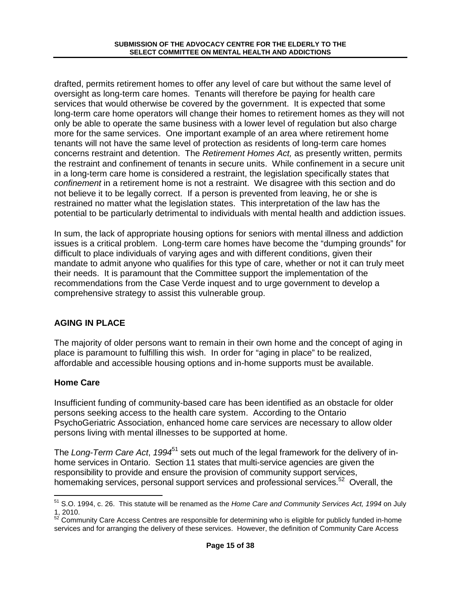drafted, permits retirement homes to offer any level of care but without the same level of oversight as long-term care homes. Tenants will therefore be paying for health care services that would otherwise be covered by the government. It is expected that some long-term care home operators will change their homes to retirement homes as they will not only be able to operate the same business with a lower level of regulation but also charge more for the same services. One important example of an area where retirement home tenants will not have the same level of protection as residents of long-term care homes concerns restraint and detention. The Retirement Homes Act, as presently written, permits the restraint and confinement of tenants in secure units. While confinement in a secure unit in a long-term care home is considered a restraint, the legislation specifically states that confinement in a retirement home is not a restraint. We disagree with this section and do not believe it to be legally correct. If a person is prevented from leaving, he or she is restrained no matter what the legislation states. This interpretation of the law has the potential to be particularly detrimental to individuals with mental health and addiction issues.

In sum, the lack of appropriate housing options for seniors with mental illness and addiction issues is a critical problem. Long-term care homes have become the "dumping grounds" for difficult to place individuals of varying ages and with different conditions, given their mandate to admit anyone who qualifies for this type of care, whether or not it can truly meet their needs. It is paramount that the Committee support the implementation of the recommendations from the Case Verde inquest and to urge government to develop a comprehensive strategy to assist this vulnerable group.

# **AGING IN PLACE**

The majority of older persons want to remain in their own home and the concept of aging in place is paramount to fulfilling this wish. In order for "aging in place" to be realized, affordable and accessible housing options and in-home supports must be available.

# **Home Care**

Insufficient funding of community-based care has been identified as an obstacle for older persons seeking access to the health care system. According to the Ontario PsychoGeriatric Association, enhanced home care services are necessary to allow older persons living with mental illnesses to be supported at home.

The Long-Term Care Act, 1994<sup>51</sup> sets out much of the legal framework for the delivery of inhome services in Ontario. Section 11 states that multi-service agencies are given the responsibility to provide and ensure the provision of community support services, homemaking services, personal support services and professional services.<sup>52</sup> Overall, the

<sup>1</sup>  $51$  S.O. 1994, c. 26. This statute will be renamed as the Home Care and Community Services Act, 1994 on July 1, 2010.

 $52$  Community Care Access Centres are responsible for determining who is eligible for publicly funded in-home services and for arranging the delivery of these services. However, the definition of Community Care Access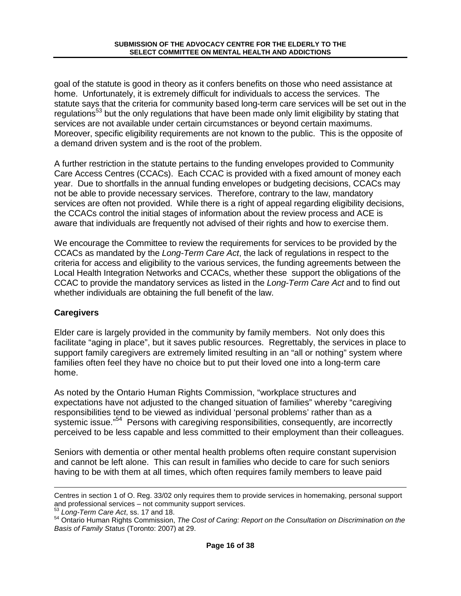goal of the statute is good in theory as it confers benefits on those who need assistance at home. Unfortunately, it is extremely difficult for individuals to access the services. The statute says that the criteria for community based long-term care services will be set out in the regulations<sup>53</sup> but the only regulations that have been made only limit eligibility by stating that services are not available under certain circumstances or beyond certain maximums. Moreover, specific eligibility requirements are not known to the public. This is the opposite of a demand driven system and is the root of the problem.

A further restriction in the statute pertains to the funding envelopes provided to Community Care Access Centres (CCACs). Each CCAC is provided with a fixed amount of money each year. Due to shortfalls in the annual funding envelopes or budgeting decisions, CCACs may not be able to provide necessary services. Therefore, contrary to the law, mandatory services are often not provided. While there is a right of appeal regarding eligibility decisions, the CCACs control the initial stages of information about the review process and ACE is aware that individuals are frequently not advised of their rights and how to exercise them.

We encourage the Committee to review the requirements for services to be provided by the CCACs as mandated by the Long-Term Care Act, the lack of regulations in respect to the criteria for access and eligibility to the various services, the funding agreements between the Local Health Integration Networks and CCACs, whether these support the obligations of the CCAC to provide the mandatory services as listed in the Long-Term Care Act and to find out whether individuals are obtaining the full benefit of the law.

# **Caregivers**

1

Elder care is largely provided in the community by family members. Not only does this facilitate "aging in place", but it saves public resources. Regrettably, the services in place to support family caregivers are extremely limited resulting in an "all or nothing" system where families often feel they have no choice but to put their loved one into a long-term care home.

As noted by the Ontario Human Rights Commission, "workplace structures and expectations have not adjusted to the changed situation of families" whereby "caregiving responsibilities tend to be viewed as individual 'personal problems' rather than as a systemic issue."<sup>54</sup> Persons with caregiving responsibilities, consequently, are incorrectly perceived to be less capable and less committed to their employment than their colleagues.

Seniors with dementia or other mental health problems often require constant supervision and cannot be left alone. This can result in families who decide to care for such seniors having to be with them at all times, which often requires family members to leave paid

Centres in section 1 of O. Reg. 33/02 only requires them to provide services in homemaking, personal support and professional services – not community support services.

<sup>&</sup>lt;sup>53</sup> Long-Term Care Act, ss. 17 and 18.

<sup>&</sup>lt;sup>54</sup> Ontario Human Rights Commission, The Cost of Caring: Report on the Consultation on Discrimination on the Basis of Family Status (Toronto: 2007) at 29.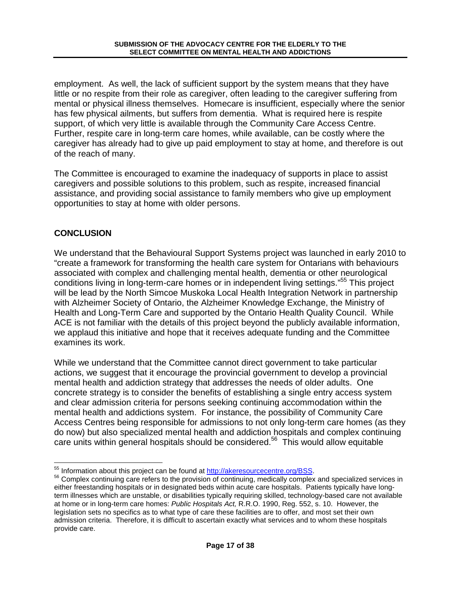employment. As well, the lack of sufficient support by the system means that they have little or no respite from their role as caregiver, often leading to the caregiver suffering from mental or physical illness themselves. Homecare is insufficient, especially where the senior has few physical ailments, but suffers from dementia. What is required here is respite support, of which very little is available through the Community Care Access Centre. Further, respite care in long-term care homes, while available, can be costly where the caregiver has already had to give up paid employment to stay at home, and therefore is out of the reach of many.

The Committee is encouraged to examine the inadequacy of supports in place to assist caregivers and possible solutions to this problem, such as respite, increased financial assistance, and providing social assistance to family members who give up employment opportunities to stay at home with older persons.

# **CONCLUSION**

We understand that the Behavioural Support Systems project was launched in early 2010 to "create a framework for transforming the health care system for Ontarians with behaviours associated with complex and challenging mental health, dementia or other neurological conditions living in long-term-care homes or in independent living settings."<sup>55</sup> This project will be lead by the North Simcoe Muskoka Local Health Integration Network in partnership with Alzheimer Society of Ontario, the Alzheimer Knowledge Exchange, the Ministry of Health and Long-Term Care and supported by the Ontario Health Quality Council. While ACE is not familiar with the details of this project beyond the publicly available information, we applaud this initiative and hope that it receives adequate funding and the Committee examines its work.

While we understand that the Committee cannot direct government to take particular actions, we suggest that it encourage the provincial government to develop a provincial mental health and addiction strategy that addresses the needs of older adults. One concrete strategy is to consider the benefits of establishing a single entry access system and clear admission criteria for persons seeking continuing accommodation within the mental health and addictions system. For instance, the possibility of Community Care Access Centres being responsible for admissions to not only long-term care homes (as they do now) but also specialized mental health and addiction hospitals and complex continuing care units within general hospitals should be considered.<sup>56</sup> This would allow equitable

<sup>1</sup> <sup>55</sup> Information about this project can be found at http://akeresourcecentre.org/BSS.

<sup>&</sup>lt;sup>56</sup> Complex continuing care refers to the provision of continuing, medically complex and specialized services in either freestanding hospitals or in designated beds within acute care hospitals. Patients typically have longterm illnesses which are unstable, or disabilities typically requiring skilled, technology-based care not available at home or in long-term care homes: Public Hospitals Act, R.R.O. 1990, Reg. 552, s. 10. However, the legislation sets no specifics as to what type of care these facilities are to offer, and most set their own admission criteria. Therefore, it is difficult to ascertain exactly what services and to whom these hospitals provide care.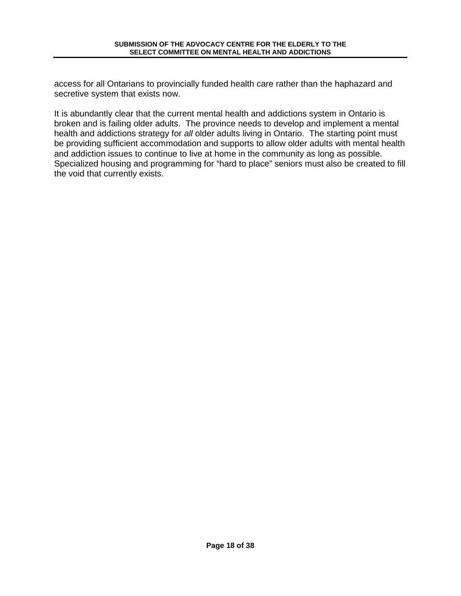access for all Ontarians to provincially funded health care rather than the haphazard and secretive system that exists now.

It is abundantly clear that the current mental health and addictions system in Ontario is broken and is failing older adults. The province needs to develop and implement a mental health and addictions strategy for all older adults living in Ontario. The starting point must be providing sufficient accommodation and supports to allow older adults with mental health and addiction issues to continue to live at home in the community as long as possible. Specialized housing and programming for "hard to place" seniors must also be created to fill the void that currently exists.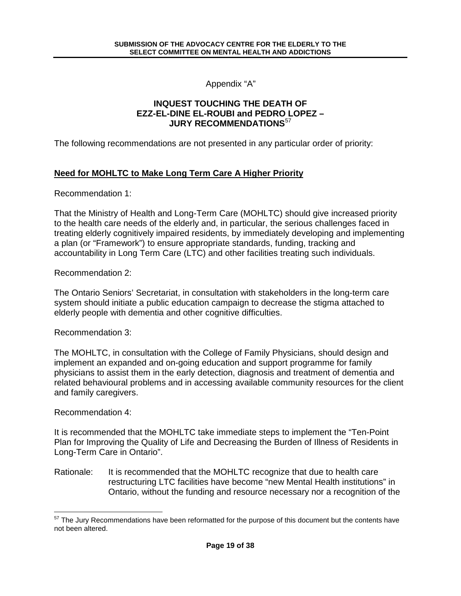Appendix "A"

#### **INQUEST TOUCHING THE DEATH OF EZZ-EL-DINE EL-ROUBI and PEDRO LOPEZ – JURY RECOMMENDATIONS**<sup>57</sup>

The following recommendations are not presented in any particular order of priority:

### **Need for MOHLTC to Make Long Term Care A Higher Priority**

Recommendation 1:

That the Ministry of Health and Long-Term Care (MOHLTC) should give increased priority to the health care needs of the elderly and, in particular, the serious challenges faced in treating elderly cognitively impaired residents, by immediately developing and implementing a plan (or "Framework") to ensure appropriate standards, funding, tracking and accountability in Long Term Care (LTC) and other facilities treating such individuals.

Recommendation 2:

The Ontario Seniors' Secretariat, in consultation with stakeholders in the long-term care system should initiate a public education campaign to decrease the stigma attached to elderly people with dementia and other cognitive difficulties.

Recommendation 3:

The MOHLTC, in consultation with the College of Family Physicians, should design and implement an expanded and on-going education and support programme for family physicians to assist them in the early detection, diagnosis and treatment of dementia and related behavioural problems and in accessing available community resources for the client and family caregivers.

Recommendation 4:

1

It is recommended that the MOHLTC take immediate steps to implement the "Ten-Point Plan for Improving the Quality of Life and Decreasing the Burden of Illness of Residents in Long-Term Care in Ontario".

Rationale: It is recommended that the MOHLTC recognize that due to health care restructuring LTC facilities have become "new Mental Health institutions" in Ontario, without the funding and resource necessary nor a recognition of the

<sup>&</sup>lt;sup>57</sup> The Jury Recommendations have been reformatted for the purpose of this document but the contents have not been altered.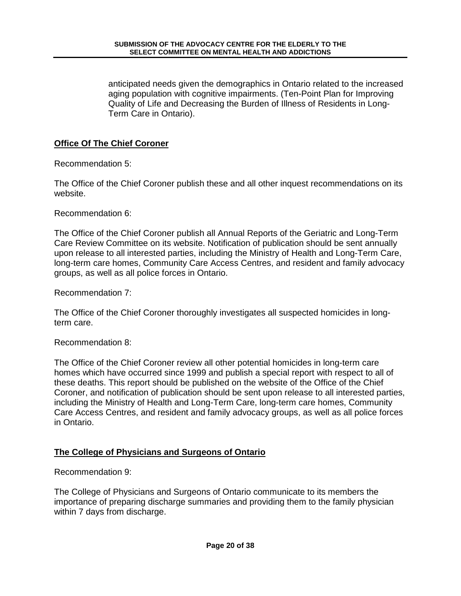anticipated needs given the demographics in Ontario related to the increased aging population with cognitive impairments. (Ten-Point Plan for Improving Quality of Life and Decreasing the Burden of Illness of Residents in Long-Term Care in Ontario).

#### **Office Of The Chief Coroner**

Recommendation 5:

The Office of the Chief Coroner publish these and all other inquest recommendations on its website.

Recommendation 6:

The Office of the Chief Coroner publish all Annual Reports of the Geriatric and Long-Term Care Review Committee on its website. Notification of publication should be sent annually upon release to all interested parties, including the Ministry of Health and Long-Term Care, long-term care homes, Community Care Access Centres, and resident and family advocacy groups, as well as all police forces in Ontario.

Recommendation 7:

The Office of the Chief Coroner thoroughly investigates all suspected homicides in longterm care.

Recommendation 8:

The Office of the Chief Coroner review all other potential homicides in long-term care homes which have occurred since 1999 and publish a special report with respect to all of these deaths. This report should be published on the website of the Office of the Chief Coroner, and notification of publication should be sent upon release to all interested parties, including the Ministry of Health and Long-Term Care, long-term care homes, Community Care Access Centres, and resident and family advocacy groups, as well as all police forces in Ontario.

#### **The College of Physicians and Surgeons of Ontario**

Recommendation 9:

The College of Physicians and Surgeons of Ontario communicate to its members the importance of preparing discharge summaries and providing them to the family physician within 7 days from discharge.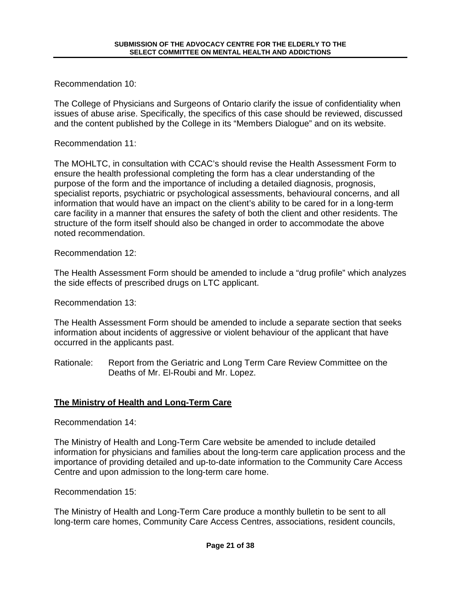Recommendation 10:

The College of Physicians and Surgeons of Ontario clarify the issue of confidentiality when issues of abuse arise. Specifically, the specifics of this case should be reviewed, discussed and the content published by the College in its "Members Dialogue" and on its website.

Recommendation 11:

The MOHLTC, in consultation with CCAC's should revise the Health Assessment Form to ensure the health professional completing the form has a clear understanding of the purpose of the form and the importance of including a detailed diagnosis, prognosis, specialist reports, psychiatric or psychological assessments, behavioural concerns, and all information that would have an impact on the client's ability to be cared for in a long-term care facility in a manner that ensures the safety of both the client and other residents. The structure of the form itself should also be changed in order to accommodate the above noted recommendation.

Recommendation 12:

The Health Assessment Form should be amended to include a "drug profile" which analyzes the side effects of prescribed drugs on LTC applicant.

Recommendation 13:

The Health Assessment Form should be amended to include a separate section that seeks information about incidents of aggressive or violent behaviour of the applicant that have occurred in the applicants past.

Rationale: Report from the Geriatric and Long Term Care Review Committee on the Deaths of Mr. El-Roubi and Mr. Lopez.

# **The Ministry of Health and Long-Term Care**

Recommendation 14:

The Ministry of Health and Long-Term Care website be amended to include detailed information for physicians and families about the long-term care application process and the importance of providing detailed and up-to-date information to the Community Care Access Centre and upon admission to the long-term care home.

Recommendation 15:

The Ministry of Health and Long-Term Care produce a monthly bulletin to be sent to all long-term care homes, Community Care Access Centres, associations, resident councils,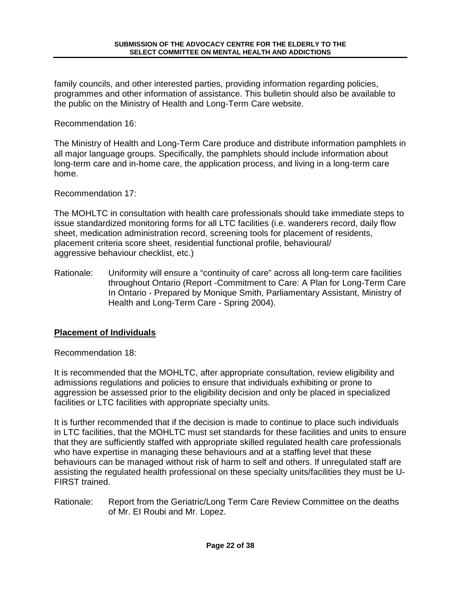family councils, and other interested parties, providing information regarding policies, programmes and other information of assistance. This bulletin should also be available to the public on the Ministry of Health and Long-Term Care website.

Recommendation 16:

The Ministry of Health and Long-Term Care produce and distribute information pamphlets in all major language groups. Specifically, the pamphlets should include information about long-term care and in-home care, the application process, and living in a long-term care home.

Recommendation 17:

The MOHLTC in consultation with health care professionals should take immediate steps to issue standardized monitoring forms for all LTC facilities (i.e. wanderers record, daily flow sheet, medication administration record, screening tools for placement of residents, placement criteria score sheet, residential functional profile, behavioural/ aggressive behaviour checklist, etc.)

Rationale: Uniformity will ensure a "continuity of care" across all long-term care facilities throughout Ontario (Report -Commitment to Care: A Plan for Long-Term Care In Ontario - Prepared by Monique Smith, Parliamentary Assistant, Ministry of Health and Long-Term Care - Spring 2004).

#### **Placement of Individuals**

Recommendation 18:

It is recommended that the MOHLTC, after appropriate consultation, review eligibility and admissions regulations and policies to ensure that individuals exhibiting or prone to aggression be assessed prior to the eligibility decision and only be placed in specialized facilities or LTC facilities with appropriate specialty units.

It is further recommended that if the decision is made to continue to place such individuals in LTC facilities, that the MOHLTC must set standards for these facilities and units to ensure that they are sufficiently staffed with appropriate skilled regulated health care professionals who have expertise in managing these behaviours and at a staffing level that these behaviours can be managed without risk of harm to self and others. If unregulated staff are assisting the regulated health professional on these specialty units/facilities they must be U-FIRST trained.

Rationale: Report from the Geriatric/Long Term Care Review Committee on the deaths of Mr. EI Roubi and Mr. Lopez.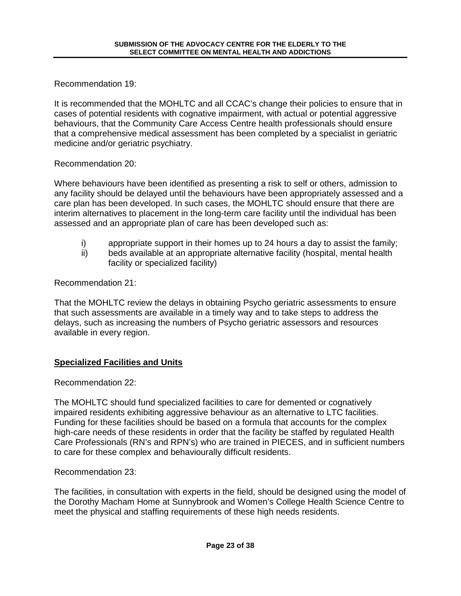Recommendation 19:

It is recommended that the MOHLTC and all CCAC's change their policies to ensure that in cases of potential residents with cognative impairment, with actual or potential aggressive behaviours, that the Community Care Access Centre health professionals should ensure that a comprehensive medical assessment has been completed by a specialist in geriatric medicine and/or geriatric psychiatry.

Recommendation 20:

Where behaviours have been identified as presenting a risk to self or others, admission to any facility should be delayed until the behaviours have been appropriately assessed and a care plan has been developed. In such cases, the MOHLTC should ensure that there are interim alternatives to placement in the long-term care facility until the individual has been assessed and an appropriate plan of care has been developed such as:

- i) appropriate support in their homes up to 24 hours a day to assist the family;
- ii) beds available at an appropriate alternative facility (hospital, mental health facility or specialized facility)

Recommendation 21:

That the MOHLTC review the delays in obtaining Psycho geriatric assessments to ensure that such assessments are available in a timely way and to take steps to address the delays, such as increasing the numbers of Psycho geriatric assessors and resources available in every region.

# **Specialized Facilities and Units**

Recommendation 22:

The MOHLTC should fund specialized facilities to care for demented or cognatively impaired residents exhibiting aggressive behaviour as an alternative to LTC facilities. Funding for these facilities should be based on a formula that accounts for the complex high-care needs of these residents in order that the facility be staffed by regulated Health Care Professionals (RN's and RPN's) who are trained in PIECES, and in sufficient numbers to care for these complex and behaviourally difficult residents.

Recommendation 23:

The facilities, in consultation with experts in the field, should be designed using the model of the Dorothy Macham Home at Sunnybrook and Women's College Health Science Centre to meet the physical and staffing requirements of these high needs residents.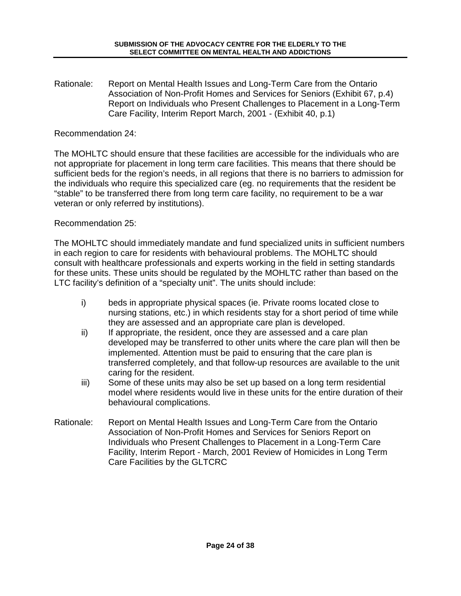Rationale: Report on Mental Health Issues and Long-Term Care from the Ontario Association of Non-Profit Homes and Services for Seniors (Exhibit 67, p.4) Report on Individuals who Present Challenges to Placement in a Long-Term Care Facility, Interim Report March, 2001 - (Exhibit 40, p.1)

#### Recommendation 24:

The MOHLTC should ensure that these facilities are accessible for the individuals who are not appropriate for placement in long term care facilities. This means that there should be sufficient beds for the region's needs, in all regions that there is no barriers to admission for the individuals who require this specialized care (eg. no requirements that the resident be "stable" to be transferred there from long term care facility, no requirement to be a war veteran or only referred by institutions).

#### Recommendation 25:

The MOHLTC should immediately mandate and fund specialized units in sufficient numbers in each region to care for residents with behavioural problems. The MOHLTC should consult with healthcare professionals and experts working in the field in setting standards for these units. These units should be regulated by the MOHLTC rather than based on the LTC facility's definition of a "specialty unit". The units should include:

- i) beds in appropriate physical spaces (ie. Private rooms located close to nursing stations, etc.) in which residents stay for a short period of time while they are assessed and an appropriate care plan is developed.
- ii) If appropriate, the resident, once they are assessed and a care plan developed may be transferred to other units where the care plan will then be implemented. Attention must be paid to ensuring that the care plan is transferred completely, and that follow-up resources are available to the unit caring for the resident.
- iii) Some of these units may also be set up based on a long term residential model where residents would live in these units for the entire duration of their behavioural complications.
- Rationale: Report on Mental Health Issues and Long-Term Care from the Ontario Association of Non-Profit Homes and Services for Seniors Report on Individuals who Present Challenges to Placement in a Long-Term Care Facility, Interim Report - March, 2001 Review of Homicides in Long Term Care Facilities by the GLTCRC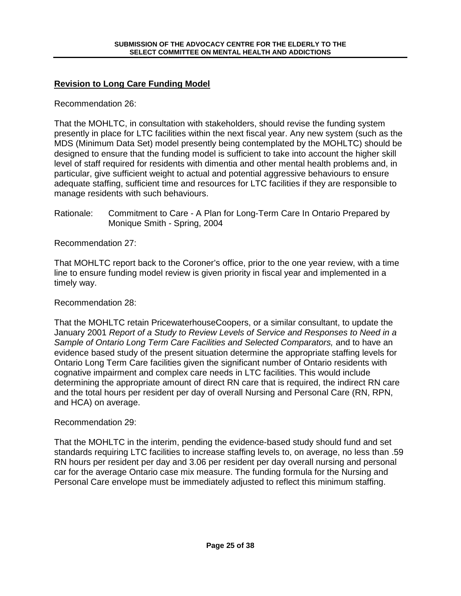### **Revision to Long Care Funding Model**

Recommendation 26:

That the MOHLTC, in consultation with stakeholders, should revise the funding system presently in place for LTC facilities within the next fiscal year. Any new system (such as the MDS (Minimum Data Set) model presently being contemplated by the MOHLTC) should be designed to ensure that the funding model is sufficient to take into account the higher skill level of staff required for residents with dimentia and other mental health problems and, in particular, give sufficient weight to actual and potential aggressive behaviours to ensure adequate staffing, sufficient time and resources for LTC facilities if they are responsible to manage residents with such behaviours.

Rationale: Commitment to Care - A Plan for Long-Term Care In Ontario Prepared by Monique Smith - Spring, 2004

Recommendation 27:

That MOHLTC report back to the Coroner's office, prior to the one year review, with a time line to ensure funding model review is given priority in fiscal year and implemented in a timely way.

Recommendation 28:

That the MOHLTC retain PricewaterhouseCoopers, or a similar consultant, to update the January 2001 Report of a Study to Review Levels of Service and Responses to Need in a Sample of Ontario Long Term Care Facilities and Selected Comparators, and to have an evidence based study of the present situation determine the appropriate staffing levels for Ontario Long Term Care facilities given the significant number of Ontario residents with cognative impairment and complex care needs in LTC facilities. This would include determining the appropriate amount of direct RN care that is required, the indirect RN care and the total hours per resident per day of overall Nursing and Personal Care (RN, RPN, and HCA) on average.

#### Recommendation 29:

That the MOHLTC in the interim, pending the evidence-based study should fund and set standards requiring LTC facilities to increase staffing levels to, on average, no less than .59 RN hours per resident per day and 3.06 per resident per day overall nursing and personal car for the average Ontario case mix measure. The funding formula for the Nursing and Personal Care envelope must be immediately adjusted to reflect this minimum staffing.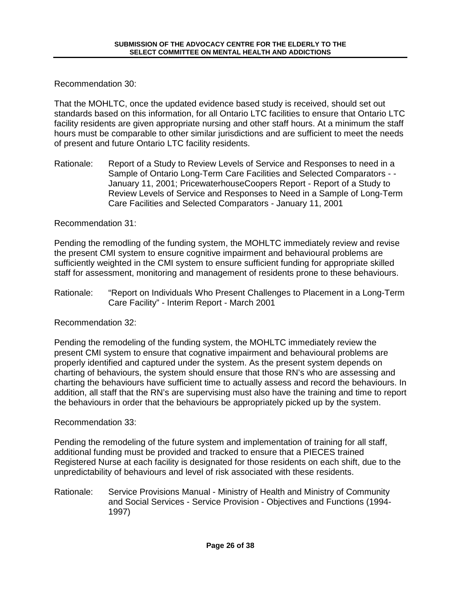Recommendation 30:

That the MOHLTC, once the updated evidence based study is received, should set out standards based on this information, for all Ontario LTC facilities to ensure that Ontario LTC facility residents are given appropriate nursing and other staff hours. At a minimum the staff hours must be comparable to other similar jurisdictions and are sufficient to meet the needs of present and future Ontario LTC facility residents.

Rationale: Report of a Study to Review Levels of Service and Responses to need in a Sample of Ontario Long-Term Care Facilities and Selected Comparators - - January 11, 2001; PricewaterhouseCoopers Report - Report of a Study to Review Levels of Service and Responses to Need in a Sample of Long-Term Care Facilities and Selected Comparators - January 11, 2001

Recommendation 31:

Pending the remodling of the funding system, the MOHLTC immediately review and revise the present CMI system to ensure cognitive impairment and behavioural problems are sufficiently weighted in the CMI system to ensure sufficient funding for appropriate skilled staff for assessment, monitoring and management of residents prone to these behaviours.

Rationale: "Report on Individuals Who Present Challenges to Placement in a Long-Term Care Facility" - Interim Report - March 2001

Recommendation 32:

Pending the remodeling of the funding system, the MOHLTC immediately review the present CMI system to ensure that cognative impairment and behavioural problems are properly identified and captured under the system. As the present system depends on charting of behaviours, the system should ensure that those RN's who are assessing and charting the behaviours have sufficient time to actually assess and record the behaviours. In addition, all staff that the RN's are supervising must also have the training and time to report the behaviours in order that the behaviours be appropriately picked up by the system.

Recommendation 33:

Pending the remodeling of the future system and implementation of training for all staff, additional funding must be provided and tracked to ensure that a PIECES trained Registered Nurse at each facility is designated for those residents on each shift, due to the unpredictability of behaviours and level of risk associated with these residents.

Rationale: Service Provisions Manual - Ministry of Health and Ministry of Community and Social Services - Service Provision - Objectives and Functions (1994- 1997)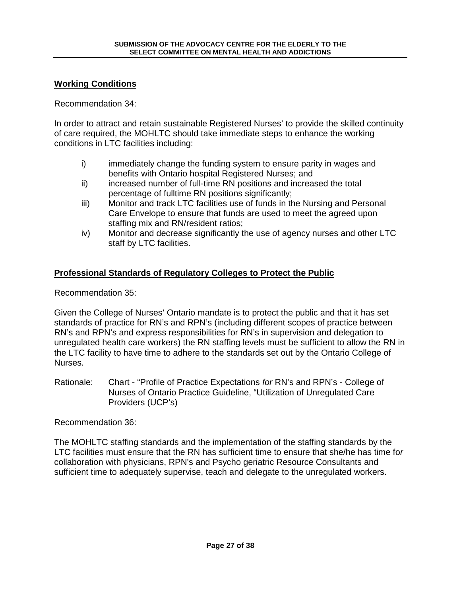#### **Working Conditions**

Recommendation 34:

In order to attract and retain sustainable Registered Nurses' to provide the skilled continuity of care required, the MOHLTC should take immediate steps to enhance the working conditions in LTC facilities including:

- i) immediately change the funding system to ensure parity in wages and benefits with Ontario hospital Registered Nurses; and
- ii) increased number of full-time RN positions and increased the total percentage of fulltime RN positions significantly;
- iii) Monitor and track LTC facilities use of funds in the Nursing and Personal Care Envelope to ensure that funds are used to meet the agreed upon staffing mix and RN/resident ratios;
- iv) Monitor and decrease significantly the use of agency nurses and other LTC staff by LTC facilities.

### **Professional Standards of Regulatory Colleges to Protect the Public**

Recommendation 35:

Given the College of Nurses' Ontario mandate is to protect the public and that it has set standards of practice for RN's and RPN's (including different scopes of practice between RN's and RPN's and express responsibilities for RN's in supervision and delegation to unregulated health care workers) the RN staffing levels must be sufficient to allow the RN in the LTC facility to have time to adhere to the standards set out by the Ontario College of Nurses.

Rationale: Chart - "Profile of Practice Expectations for RN's and RPN's - College of Nurses of Ontario Practice Guideline, "Utilization of Unregulated Care Providers (UCP's)

Recommendation 36:

The MOHLTC staffing standards and the implementation of the staffing standards by the LTC facilities must ensure that the RN has sufficient time to ensure that she/he has time for collaboration with physicians, RPN's and Psycho geriatric Resource Consultants and sufficient time to adequately supervise, teach and delegate to the unregulated workers.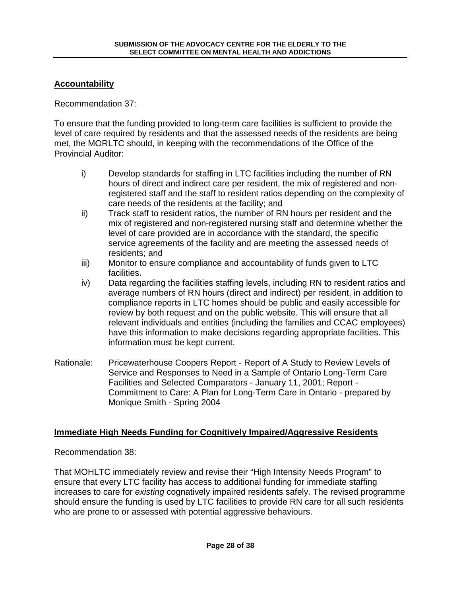### **Accountability**

Recommendation 37:

To ensure that the funding provided to long-term care facilities is sufficient to provide the level of care required by residents and that the assessed needs of the residents are being met, the MORLTC should, in keeping with the recommendations of the Office of the Provincial Auditor:

- i) Develop standards for staffing in LTC facilities including the number of RN hours of direct and indirect care per resident, the mix of registered and nonregistered staff and the staff to resident ratios depending on the complexity of care needs of the residents at the facility; and
- ii) Track staff to resident ratios, the number of RN hours per resident and the mix of registered and non-registered nursing staff and determine whether the level of care provided are in accordance with the standard, the specific service agreements of the facility and are meeting the assessed needs of residents; and
- iii) Monitor to ensure compliance and accountability of funds given to LTC facilities.
- iv) Data regarding the facilities staffing levels, including RN to resident ratios and average numbers of RN hours (direct and indirect) per resident, in addition to compliance reports in LTC homes should be public and easily accessible for review by both request and on the public website. This will ensure that all relevant individuals and entities (including the families and CCAC employees) have this information to make decisions regarding appropriate facilities. This information must be kept current.
- Rationale: Pricewaterhouse Coopers Report Report of A Study to Review Levels of Service and Responses to Need in a Sample of Ontario Long-Term Care Facilities and Selected Comparators - January 11, 2001; Report - Commitment to Care: A Plan for Long-Term Care in Ontario - prepared by Monique Smith - Spring 2004

#### **Immediate High Needs Funding for Cognitively Impaired/Aggressive Residents**

Recommendation 38:

That MOHLTC immediately review and revise their "High Intensity Needs Program" to ensure that every LTC facility has access to additional funding for immediate staffing increases to care for existing cognatively impaired residents safely. The revised programme should ensure the funding is used by LTC facilities to provide RN care for all such residents who are prone to or assessed with potential aggressive behaviours.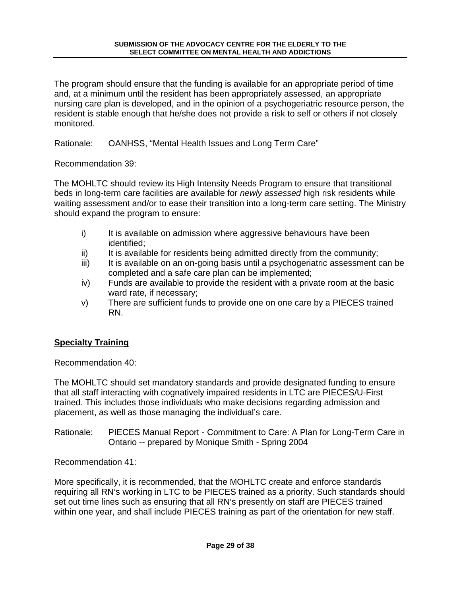The program should ensure that the funding is available for an appropriate period of time and, at a minimum until the resident has been appropriately assessed, an appropriate nursing care plan is developed, and in the opinion of a psychogeriatric resource person, the resident is stable enough that he/she does not provide a risk to self or others if not closely monitored.

Rationale: OANHSS, "Mental Health Issues and Long Term Care"

Recommendation 39:

The MOHLTC should review its High Intensity Needs Program to ensure that transitional beds in long-term care facilities are available for *newly assessed* high risk residents while waiting assessment and/or to ease their transition into a long-term care setting. The Ministry should expand the program to ensure:

- i) It is available on admission where aggressive behaviours have been identified;
- ii) It is available for residents being admitted directly from the community;
- iii) It is available on an on-going basis until a psychogeriatric assessment can be completed and a safe care plan can be implemented;
- iv) Funds are available to provide the resident with a private room at the basic ward rate, if necessary;
- v) There are sufficient funds to provide one on one care by a PIECES trained RN.

# **Specialty Training**

Recommendation 40:

The MOHLTC should set mandatory standards and provide designated funding to ensure that all staff interacting with cognatively impaired residents in LTC are PIECES/U-First trained. This includes those individuals who make decisions regarding admission and placement, as well as those managing the individual's care.

Rationale: PIECES Manual Report - Commitment to Care: A Plan for Long-Term Care in Ontario -- prepared by Monique Smith - Spring 2004

Recommendation 41:

More specifically, it is recommended, that the MOHLTC create and enforce standards requiring all RN's working in LTC to be PIECES trained as a priority. Such standards should set out time lines such as ensuring that all RN's presently on staff are PIECES trained within one year, and shall include PIECES training as part of the orientation for new staff.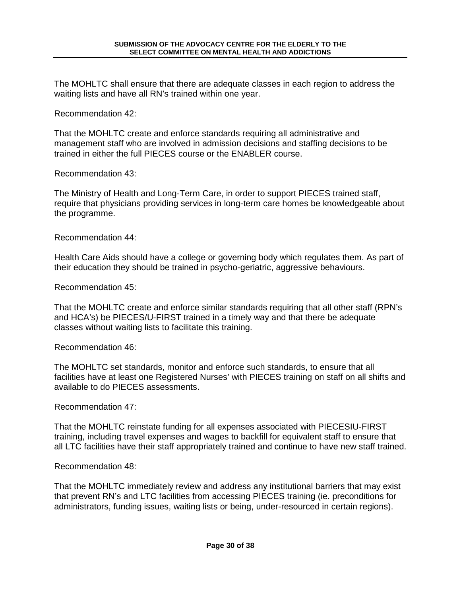The MOHLTC shall ensure that there are adequate classes in each region to address the waiting lists and have all RN's trained within one year.

Recommendation 42:

That the MOHLTC create and enforce standards requiring all administrative and management staff who are involved in admission decisions and staffing decisions to be trained in either the full PIECES course or the ENABLER course.

Recommendation 43:

The Ministry of Health and Long-Term Care, in order to support PIECES trained staff, require that physicians providing services in long-term care homes be knowledgeable about the programme.

Recommendation 44:

Health Care Aids should have a college or governing body which regulates them. As part of their education they should be trained in psycho-geriatric, aggressive behaviours.

Recommendation 45:

That the MOHLTC create and enforce similar standards requiring that all other staff (RPN's and HCA's) be PIECES/U-FIRST trained in a timely way and that there be adequate classes without waiting lists to facilitate this training.

Recommendation 46:

The MOHLTC set standards, monitor and enforce such standards, to ensure that all facilities have at least one Registered Nurses' with PIECES training on staff on all shifts and available to do PIECES assessments.

Recommendation 47:

That the MOHLTC reinstate funding for all expenses associated with PIECESIU-FIRST training, including travel expenses and wages to backfill for equivalent staff to ensure that all LTC facilities have their staff appropriately trained and continue to have new staff trained.

Recommendation 48:

That the MOHLTC immediately review and address any institutional barriers that may exist that prevent RN's and LTC facilities from accessing PIECES training (ie. preconditions for administrators, funding issues, waiting lists or being, under-resourced in certain regions).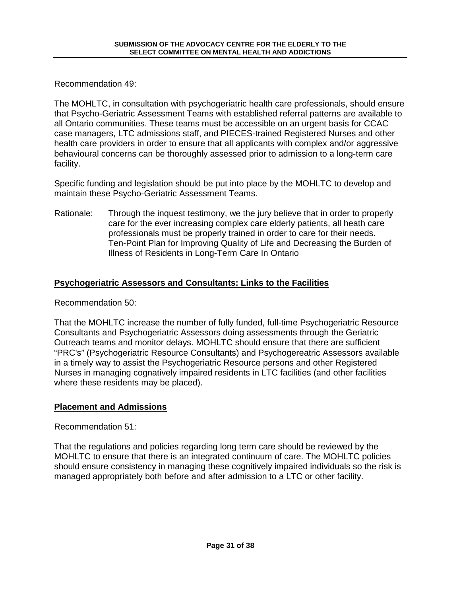Recommendation 49:

The MOHLTC, in consultation with psychogeriatric health care professionals, should ensure that Psycho-Geriatric Assessment Teams with established referral patterns are available to all Ontario communities. These teams must be accessible on an urgent basis for CCAC case managers, LTC admissions staff, and PIECES-trained Registered Nurses and other health care providers in order to ensure that all applicants with complex and/or aggressive behavioural concerns can be thoroughly assessed prior to admission to a long-term care facility.

Specific funding and legislation should be put into place by the MOHLTC to develop and maintain these Psycho-Geriatric Assessment Teams.

Rationale: Through the inquest testimony, we the jury believe that in order to properly care for the ever increasing complex care elderly patients, all heath care professionals must be properly trained in order to care for their needs. Ten-Point Plan for Improving Quality of Life and Decreasing the Burden of Illness of Residents in Long-Term Care In Ontario

# **Psychogeriatric Assessors and Consultants: Links to the Facilities**

Recommendation 50:

That the MOHLTC increase the number of fully funded, full-time Psychogeriatric Resource Consultants and Psychogeriatric Assessors doing assessments through the Geriatric Outreach teams and monitor delays. MOHLTC should ensure that there are sufficient "PRC's" (Psychogeriatric Resource Consultants) and Psychogereatric Assessors available in a timely way to assist the Psychogeriatric Resource persons and other Registered Nurses in managing cognatively impaired residents in LTC facilities (and other facilities where these residents may be placed).

#### **Placement and Admissions**

Recommendation 51:

That the regulations and policies regarding long term care should be reviewed by the MOHLTC to ensure that there is an integrated continuum of care. The MOHLTC policies should ensure consistency in managing these cognitively impaired individuals so the risk is managed appropriately both before and after admission to a LTC or other facility.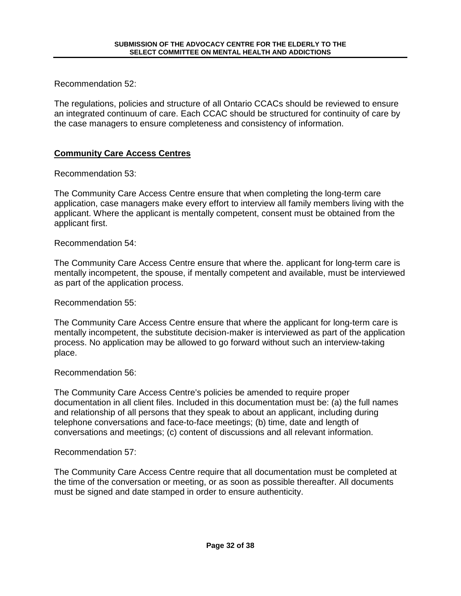Recommendation 52:

The regulations, policies and structure of all Ontario CCACs should be reviewed to ensure an integrated continuum of care. Each CCAC should be structured for continuity of care by the case managers to ensure completeness and consistency of information.

### **Community Care Access Centres**

Recommendation 53:

The Community Care Access Centre ensure that when completing the long-term care application, case managers make every effort to interview all family members living with the applicant. Where the applicant is mentally competent, consent must be obtained from the applicant first.

Recommendation 54:

The Community Care Access Centre ensure that where the. applicant for long-term care is mentally incompetent, the spouse, if mentally competent and available, must be interviewed as part of the application process.

Recommendation 55:

The Community Care Access Centre ensure that where the applicant for long-term care is mentally incompetent, the substitute decision-maker is interviewed as part of the application process. No application may be allowed to go forward without such an interview-taking place.

Recommendation 56:

The Community Care Access Centre's policies be amended to require proper documentation in all client files. Included in this documentation must be: (a) the full names and relationship of all persons that they speak to about an applicant, including during telephone conversations and face-to-face meetings; (b) time, date and length of conversations and meetings; (c) content of discussions and all relevant information.

Recommendation 57:

The Community Care Access Centre require that all documentation must be completed at the time of the conversation or meeting, or as soon as possible thereafter. All documents must be signed and date stamped in order to ensure authenticity.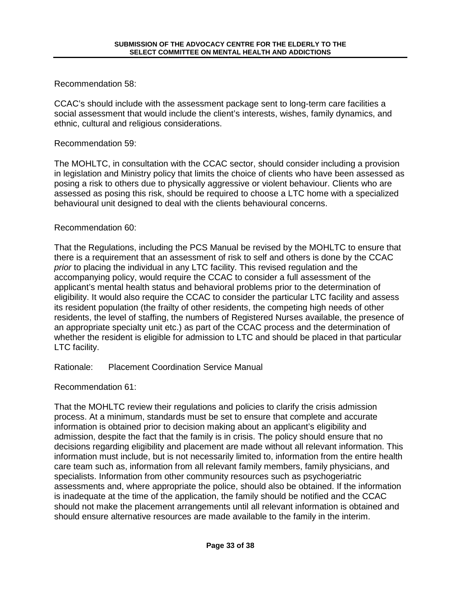Recommendation 58:

CCAC's should include with the assessment package sent to long-term care facilities a social assessment that would include the client's interests, wishes, family dynamics, and ethnic, cultural and religious considerations.

#### Recommendation 59:

The MOHLTC, in consultation with the CCAC sector, should consider including a provision in legislation and Ministry policy that limits the choice of clients who have been assessed as posing a risk to others due to physically aggressive or violent behaviour. Clients who are assessed as posing this risk, should be required to choose a LTC home with a specialized behavioural unit designed to deal with the clients behavioural concerns.

### Recommendation 60:

That the Regulations, including the PCS Manual be revised by the MOHLTC to ensure that there is a requirement that an assessment of risk to self and others is done by the CCAC prior to placing the individual in any LTC facility. This revised regulation and the accompanying policy, would require the CCAC to consider a full assessment of the applicant's mental health status and behavioral problems prior to the determination of eligibility. It would also require the CCAC to consider the particular LTC facility and assess its resident population (the frailty of other residents, the competing high needs of other residents, the level of staffing, the numbers of Registered Nurses available, the presence of an appropriate specialty unit etc.) as part of the CCAC process and the determination of whether the resident is eligible for admission to LTC and should be placed in that particular LTC facility.

Rationale: Placement Coordination Service Manual

Recommendation 61:

That the MOHLTC review their regulations and policies to clarify the crisis admission process. At a minimum, standards must be set to ensure that complete and accurate information is obtained prior to decision making about an applicant's eligibility and admission, despite the fact that the family is in crisis. The policy should ensure that no decisions regarding eligibility and placement are made without all relevant information. This information must include, but is not necessarily limited to, information from the entire health care team such as, information from all relevant family members, family physicians, and specialists. Information from other community resources such as psychogeriatric assessments and, where appropriate the police, should also be obtained. If the information is inadequate at the time of the application, the family should be notified and the CCAC should not make the placement arrangements until all relevant information is obtained and should ensure alternative resources are made available to the family in the interim.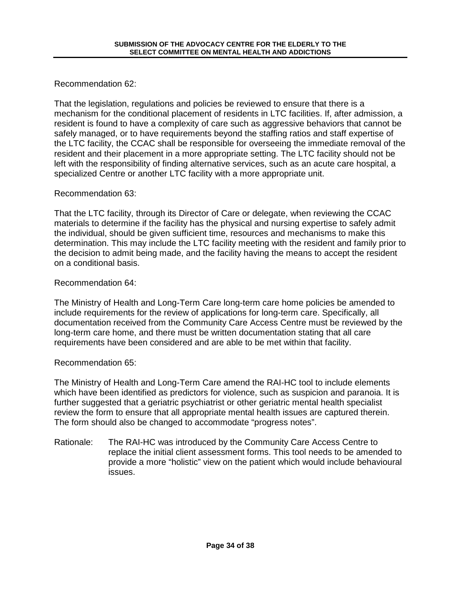Recommendation 62:

That the legislation, regulations and policies be reviewed to ensure that there is a mechanism for the conditional placement of residents in LTC facilities. If, after admission, a resident is found to have a complexity of care such as aggressive behaviors that cannot be safely managed, or to have requirements beyond the staffing ratios and staff expertise of the LTC facility, the CCAC shall be responsible for overseeing the immediate removal of the resident and their placement in a more appropriate setting. The LTC facility should not be left with the responsibility of finding alternative services, such as an acute care hospital, a specialized Centre or another LTC facility with a more appropriate unit.

### Recommendation 63:

That the LTC facility, through its Director of Care or delegate, when reviewing the CCAC materials to determine if the facility has the physical and nursing expertise to safely admit the individual, should be given sufficient time, resources and mechanisms to make this determination. This may include the LTC facility meeting with the resident and family prior to the decision to admit being made, and the facility having the means to accept the resident on a conditional basis.

### Recommendation 64:

The Ministry of Health and Long-Term Care long-term care home policies be amended to include requirements for the review of applications for long-term care. Specifically, all documentation received from the Community Care Access Centre must be reviewed by the long-term care home, and there must be written documentation stating that all care requirements have been considered and are able to be met within that facility.

# Recommendation 65:

The Ministry of Health and Long-Term Care amend the RAI-HC tool to include elements which have been identified as predictors for violence, such as suspicion and paranoia. It is further suggested that a geriatric psychiatrist or other geriatric mental health specialist review the form to ensure that all appropriate mental health issues are captured therein. The form should also be changed to accommodate "progress notes".

Rationale: The RAI-HC was introduced by the Community Care Access Centre to replace the initial client assessment forms. This tool needs to be amended to provide a more "holistic" view on the patient which would include behavioural issues.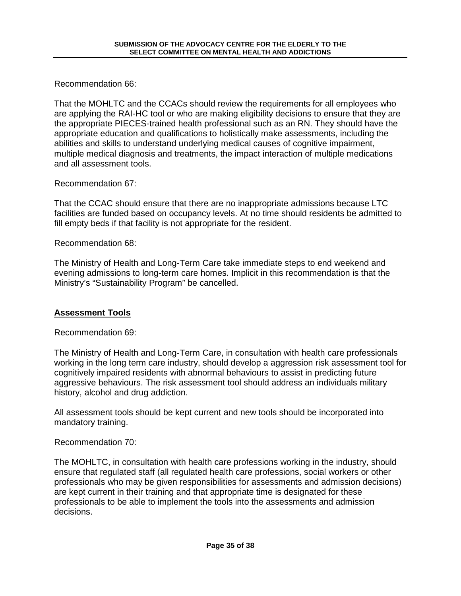Recommendation 66:

That the MOHLTC and the CCACs should review the requirements for all employees who are applying the RAI-HC tool or who are making eligibility decisions to ensure that they are the appropriate PIECES-trained health professional such as an RN. They should have the appropriate education and qualifications to holistically make assessments, including the abilities and skills to understand underlying medical causes of cognitive impairment, multiple medical diagnosis and treatments, the impact interaction of multiple medications and all assessment tools.

Recommendation 67:

That the CCAC should ensure that there are no inappropriate admissions because LTC facilities are funded based on occupancy levels. At no time should residents be admitted to fill empty beds if that facility is not appropriate for the resident.

Recommendation 68:

The Ministry of Health and Long-Term Care take immediate steps to end weekend and evening admissions to long-term care homes. Implicit in this recommendation is that the Ministry's "Sustainability Program" be cancelled.

# **Assessment Tools**

Recommendation 69:

The Ministry of Health and Long-Term Care, in consultation with health care professionals working in the long term care industry, should develop a aggression risk assessment tool for cognitively impaired residents with abnormal behaviours to assist in predicting future aggressive behaviours. The risk assessment tool should address an individuals military history, alcohol and drug addiction.

All assessment tools should be kept current and new tools should be incorporated into mandatory training.

Recommendation 70:

The MOHLTC, in consultation with health care professions working in the industry, should ensure that regulated staff (all regulated health care professions, social workers or other professionals who may be given responsibilities for assessments and admission decisions) are kept current in their training and that appropriate time is designated for these professionals to be able to implement the tools into the assessments and admission decisions.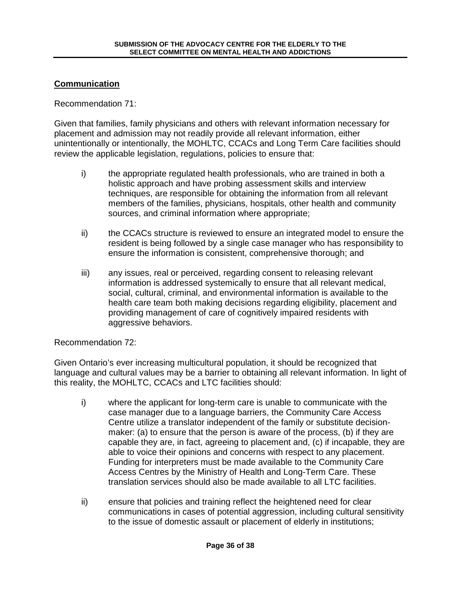### **Communication**

#### Recommendation 71:

Given that families, family physicians and others with relevant information necessary for placement and admission may not readily provide all relevant information, either unintentionally or intentionally, the MOHLTC, CCACs and Long Term Care facilities should review the applicable legislation, regulations, policies to ensure that:

- i) the appropriate regulated health professionals, who are trained in both a holistic approach and have probing assessment skills and interview techniques, are responsible for obtaining the information from all relevant members of the families, physicians, hospitals, other health and community sources, and criminal information where appropriate;
- ii) the CCACs structure is reviewed to ensure an integrated model to ensure the resident is being followed by a single case manager who has responsibility to ensure the information is consistent, comprehensive thorough; and
- iii) any issues, real or perceived, regarding consent to releasing relevant information is addressed systemically to ensure that all relevant medical, social, cultural, criminal, and environmental information is available to the health care team both making decisions regarding eligibility, placement and providing management of care of cognitively impaired residents with aggressive behaviors.

#### Recommendation 72:

Given Ontario's ever increasing multicultural population, it should be recognized that language and cultural values may be a barrier to obtaining all relevant information. In light of this reality, the MOHLTC, CCACs and LTC facilities should:

- i) where the applicant for long-term care is unable to communicate with the case manager due to a language barriers, the Community Care Access Centre utilize a translator independent of the family or substitute decisionmaker: (a) to ensure that the person is aware of the process, (b) if they are capable they are, in fact, agreeing to placement and, (c) if incapable, they are able to voice their opinions and concerns with respect to any placement. Funding for interpreters must be made available to the Community Care Access Centres by the Ministry of Health and Long-Term Care. These translation services should also be made available to all LTC facilities.
- ii) ensure that policies and training reflect the heightened need for clear communications in cases of potential aggression, including cultural sensitivity to the issue of domestic assault or placement of elderly in institutions;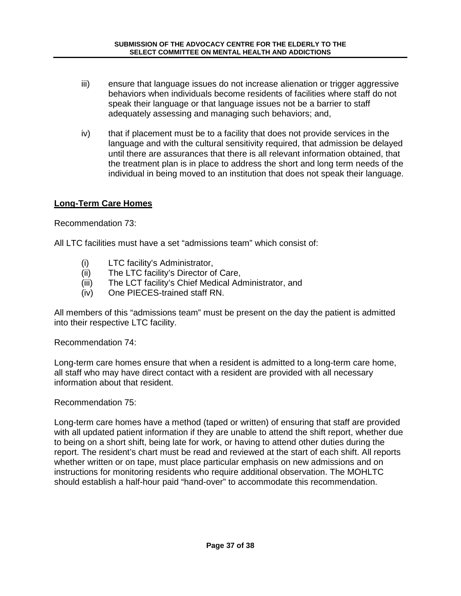- iii) ensure that language issues do not increase alienation or trigger aggressive behaviors when individuals become residents of facilities where staff do not speak their language or that language issues not be a barrier to staff adequately assessing and managing such behaviors; and,
- iv) that if placement must be to a facility that does not provide services in the language and with the cultural sensitivity required, that admission be delayed until there are assurances that there is all relevant information obtained, that the treatment plan is in place to address the short and long term needs of the individual in being moved to an institution that does not speak their language.

### **Long-Term Care Homes**

Recommendation 73:

All LTC facilities must have a set "admissions team" which consist of:

- (i) LTC facility's Administrator,
- (ii) The LTC facility's Director of Care,
- (iii) The LCT facility's Chief Medical Administrator, and
- (iv) One PIECES-trained staff RN.

All members of this "admissions team" must be present on the day the patient is admitted into their respective LTC facility.

Recommendation 74:

Long-term care homes ensure that when a resident is admitted to a long-term care home, all staff who may have direct contact with a resident are provided with all necessary information about that resident.

#### Recommendation 75:

Long-term care homes have a method (taped or written) of ensuring that staff are provided with all updated patient information if they are unable to attend the shift report, whether due to being on a short shift, being late for work, or having to attend other duties during the report. The resident's chart must be read and reviewed at the start of each shift. All reports whether written or on tape, must place particular emphasis on new admissions and on instructions for monitoring residents who require additional observation. The MOHLTC should establish a half-hour paid "hand-over" to accommodate this recommendation.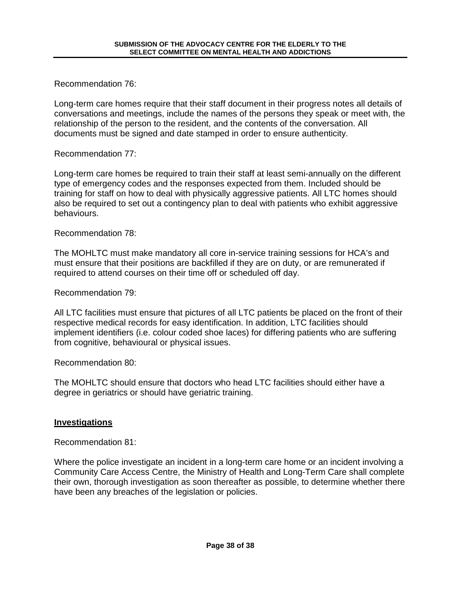Recommendation 76:

Long-term care homes require that their staff document in their progress notes all details of conversations and meetings, include the names of the persons they speak or meet with, the relationship of the person to the resident, and the contents of the conversation. All documents must be signed and date stamped in order to ensure authenticity.

#### Recommendation 77:

Long-term care homes be required to train their staff at least semi-annually on the different type of emergency codes and the responses expected from them. Included should be training for staff on how to deal with physically aggressive patients. All LTC homes should also be required to set out a contingency plan to deal with patients who exhibit aggressive behaviours.

Recommendation 78:

The MOHLTC must make mandatory all core in-service training sessions for HCA's and must ensure that their positions are backfilled if they are on duty, or are remunerated if required to attend courses on their time off or scheduled off day.

Recommendation 79:

All LTC facilities must ensure that pictures of all LTC patients be placed on the front of their respective medical records for easy identification. In addition, LTC facilities should implement identifiers (i.e. colour coded shoe laces) for differing patients who are suffering from cognitive, behavioural or physical issues.

Recommendation 80:

The MOHLTC should ensure that doctors who head LTC facilities should either have a degree in geriatrics or should have geriatric training.

# **Investigations**

Recommendation 81:

Where the police investigate an incident in a long-term care home or an incident involving a Community Care Access Centre, the Ministry of Health and Long-Term Care shall complete their own, thorough investigation as soon thereafter as possible, to determine whether there have been any breaches of the legislation or policies.